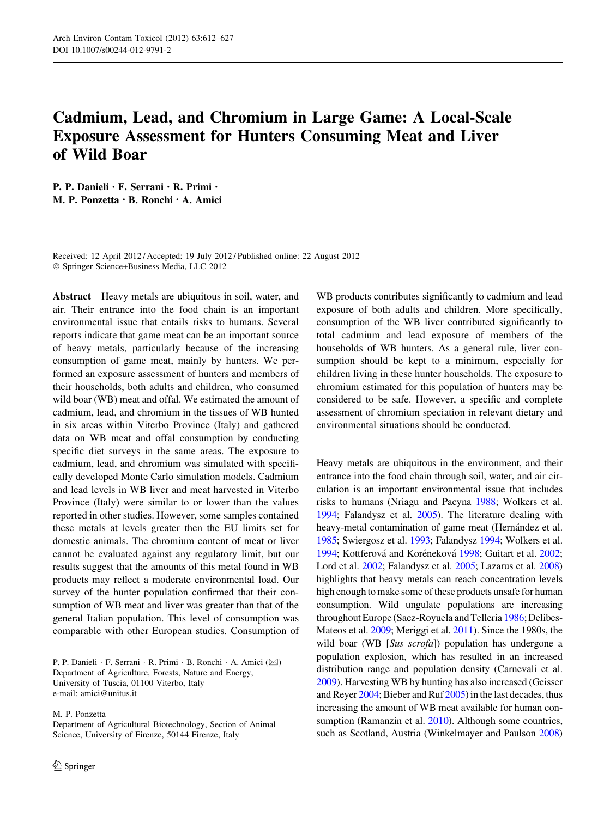# Cadmium, Lead, and Chromium in Large Game: A Local-Scale Exposure Assessment for Hunters Consuming Meat and Liver of Wild Boar

P. P. Danieli • F. Serrani • R. Primi • M. P. Ponzetta • B. Ronchi • A. Amici

Received: 12 April 2012 / Accepted: 19 July 2012 / Published online: 22 August 2012 - Springer Science+Business Media, LLC 2012

Abstract Heavy metals are ubiquitous in soil, water, and air. Their entrance into the food chain is an important environmental issue that entails risks to humans. Several reports indicate that game meat can be an important source of heavy metals, particularly because of the increasing consumption of game meat, mainly by hunters. We performed an exposure assessment of hunters and members of their households, both adults and children, who consumed wild boar (WB) meat and offal. We estimated the amount of cadmium, lead, and chromium in the tissues of WB hunted in six areas within Viterbo Province (Italy) and gathered data on WB meat and offal consumption by conducting specific diet surveys in the same areas. The exposure to cadmium, lead, and chromium was simulated with specifically developed Monte Carlo simulation models. Cadmium and lead levels in WB liver and meat harvested in Viterbo Province (Italy) were similar to or lower than the values reported in other studies. However, some samples contained these metals at levels greater then the EU limits set for domestic animals. The chromium content of meat or liver cannot be evaluated against any regulatory limit, but our results suggest that the amounts of this metal found in WB products may reflect a moderate environmental load. Our survey of the hunter population confirmed that their consumption of WB meat and liver was greater than that of the general Italian population. This level of consumption was comparable with other European studies. Consumption of

M. P. Ponzetta

WB products contributes significantly to cadmium and lead exposure of both adults and children. More specifically, consumption of the WB liver contributed significantly to total cadmium and lead exposure of members of the households of WB hunters. As a general rule, liver consumption should be kept to a minimum, especially for children living in these hunter households. The exposure to chromium estimated for this population of hunters may be considered to be safe. However, a specific and complete assessment of chromium speciation in relevant dietary and environmental situations should be conducted.

Heavy metals are ubiquitous in the environment, and their entrance into the food chain through soil, water, and air circulation is an important environmental issue that includes risks to humans (Nriagu and Pacyna [1988](#page-14-0); Wolkers et al. [1994;](#page-15-0) Falandysz et al. [2005\)](#page-13-0). The literature dealing with heavy-metal contamination of game meat (Hernández et al. [1985;](#page-14-0) Swiergosz et al. [1993](#page-15-0); Falandysz [1994;](#page-13-0) Wolkers et al. [1994;](#page-15-0) Kottferová and Koréneková [1998;](#page-14-0) Guitart et al. [2002](#page-13-0); Lord et al. [2002;](#page-14-0) Falandysz et al. [2005;](#page-13-0) Lazarus et al. [2008\)](#page-14-0) highlights that heavy metals can reach concentration levels high enough to make some of these products unsafe for human consumption. Wild ungulate populations are increasing throughout Europe (Saez-Royuela and Telleria [1986;](#page-14-0) Delibes-Mateos et al. [2009](#page-13-0); Meriggi et al. [2011\)](#page-14-0). Since the 1980s, the wild boar (WB [Sus scrofa]) population has undergone a population explosion, which has resulted in an increased distribution range and population density (Carnevali et al. [2009\)](#page-13-0). Harvesting WB by hunting has also increased (Geisser and Reyer [2004](#page-13-0); Bieber and Ruf [2005](#page-13-0)) in the last decades, thus increasing the amount of WB meat available for human con-sumption (Ramanzin et al. [2010\)](#page-14-0). Although some countries, such as Scotland, Austria (Winkelmayer and Paulson [2008\)](#page-15-0)

P. P. Danieli · F. Serrani · R. Primi · B. Ronchi · A. Amici (⊠) Department of Agriculture, Forests, Nature and Energy, University of Tuscia, 01100 Viterbo, Italy e-mail: amici@unitus.it

Department of Agricultural Biotechnology, Section of Animal Science, University of Firenze, 50144 Firenze, Italy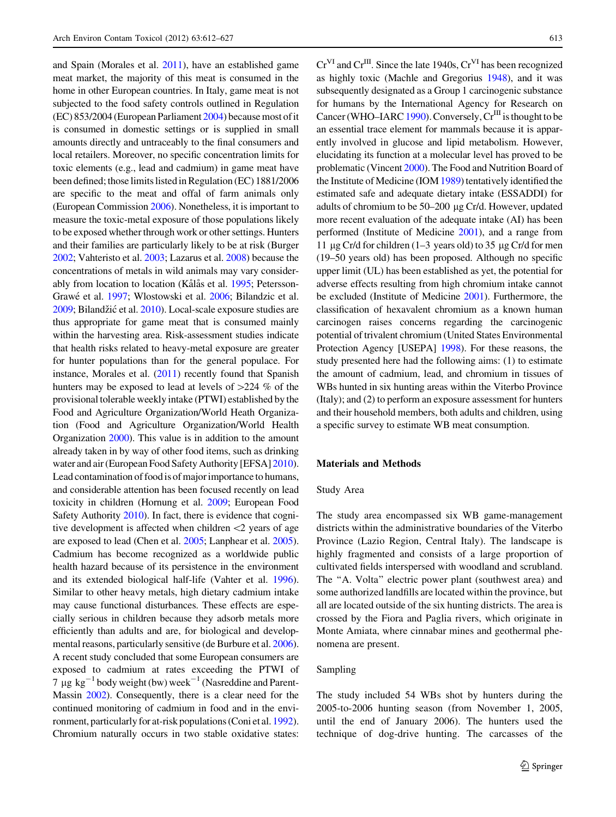and Spain (Morales et al. [2011\)](#page-14-0), have an established game meat market, the majority of this meat is consumed in the home in other European countries. In Italy, game meat is not subjected to the food safety controls outlined in Regulation (EC) 853/2004 (European Parliament [2004](#page-13-0)) because most of it is consumed in domestic settings or is supplied in small amounts directly and untraceably to the final consumers and local retailers. Moreover, no specific concentration limits for toxic elements (e.g., lead and cadmium) in game meat have been defined; those limits listed in Regulation (EC) 1881/2006 are specific to the meat and offal of farm animals only (European Commission [2006](#page-13-0)). Nonetheless, it is important to measure the toxic-metal exposure of those populations likely to be exposed whether through work or other settings. Hunters and their families are particularly likely to be at risk (Burger [2002;](#page-13-0) Vahteristo et al. [2003](#page-15-0); Lazarus et al. [2008](#page-14-0)) because the concentrations of metals in wild animals may vary consider-ably from location to location (Kålås et al. [1995;](#page-14-0) Petersson-Grawé et al. [1997](#page-14-0); Wlostowski et al. [2006](#page-15-0); Bilandzic et al. [2009;](#page-13-0) Bilandžić et al. [2010](#page-13-0)). Local-scale exposure studies are thus appropriate for game meat that is consumed mainly within the harvesting area. Risk-assessment studies indicate that health risks related to heavy-metal exposure are greater for hunter populations than for the general populace. For instance, Morales et al. ([2011](#page-14-0)) recently found that Spanish hunters may be exposed to lead at levels of  $>224\%$  of the provisional tolerable weekly intake (PTWI) established by the Food and Agriculture Organization/World Heath Organization (Food and Agriculture Organization/World Health Organization [2000\)](#page-13-0). This value is in addition to the amount already taken in by way of other food items, such as drinking water and air (European Food Safety Authority [EFSA] [2010](#page-13-0)). Lead contamination of food is of major importance to humans, and considerable attention has been focused recently on lead toxicity in children (Hornung et al. [2009](#page-14-0); European Food Safety Authority [2010\)](#page-13-0). In fact, there is evidence that cognitive development is affected when children $\langle 2 \rangle$  years of age are exposed to lead (Chen et al. [2005](#page-13-0); Lanphear et al. [2005](#page-14-0)). Cadmium has become recognized as a worldwide public health hazard because of its persistence in the environment and its extended biological half-life (Vahter et al. [1996](#page-15-0)). Similar to other heavy metals, high dietary cadmium intake may cause functional disturbances. These effects are especially serious in children because they adsorb metals more efficiently than adults and are, for biological and developmental reasons, particularly sensitive (de Burbure et al. [2006](#page-13-0)). A recent study concluded that some European consumers are exposed to cadmium at rates exceeding the PTWI of 7 µg kg<sup>-1</sup> body weight (bw) week<sup>-1</sup> (Nasreddine and Parent-Massin [2002\)](#page-14-0). Consequently, there is a clear need for the continued monitoring of cadmium in food and in the environment, particularly for at-risk populations (Coni et al. [1992](#page-13-0)). Chromium naturally occurs in two stable oxidative states:  $Cr<sup>VI</sup>$  and  $Cr<sup>III</sup>$ . Since the late 1940s,  $Cr<sup>VI</sup>$  has been recognized as highly toxic (Machle and Gregorius [1948\)](#page-14-0), and it was subsequently designated as a Group 1 carcinogenic substance for humans by the International Agency for Research on Cancer (WHO–IARC [1990\)](#page-15-0). Conversely,  $Cr^{III}$  is thought to be an essential trace element for mammals because it is apparently involved in glucose and lipid metabolism. However, elucidating its function at a molecular level has proved to be problematic (Vincent [2000](#page-15-0)). The Food and Nutrition Board of the Institute of Medicine (IOM [1989\)](#page-14-0) tentatively identified the estimated safe and adequate dietary intake (ESSADDI) for adults of chromium to be 50–200 µg Cr/d. However, updated more recent evaluation of the adequate intake (AI) has been performed (Institute of Medicine [2001](#page-14-0)), and a range from 11  $\mu$ g Cr/d for children (1–3 years old) to 35  $\mu$ g Cr/d for men (19–50 years old) has been proposed. Although no specific upper limit (UL) has been established as yet, the potential for adverse effects resulting from high chromium intake cannot be excluded (Institute of Medicine [2001](#page-14-0)). Furthermore, the classification of hexavalent chromium as a known human carcinogen raises concerns regarding the carcinogenic potential of trivalent chromium (United States Environmental Protection Agency [USEPA] [1998\)](#page-15-0). For these reasons, the study presented here had the following aims: (1) to estimate the amount of cadmium, lead, and chromium in tissues of WBs hunted in six hunting areas within the Viterbo Province (Italy); and (2) to perform an exposure assessment for hunters and their household members, both adults and children, using a specific survey to estimate WB meat consumption.

### Materials and Methods

# Study Area

The study area encompassed six WB game-management districts within the administrative boundaries of the Viterbo Province (Lazio Region, Central Italy). The landscape is highly fragmented and consists of a large proportion of cultivated fields interspersed with woodland and scrubland. The ''A. Volta'' electric power plant (southwest area) and some authorized landfills are located within the province, but all are located outside of the six hunting districts. The area is crossed by the Fiora and Paglia rivers, which originate in Monte Amiata, where cinnabar mines and geothermal phenomena are present.

## Sampling

The study included 54 WBs shot by hunters during the 2005-to-2006 hunting season (from November 1, 2005, until the end of January 2006). The hunters used the technique of dog-drive hunting. The carcasses of the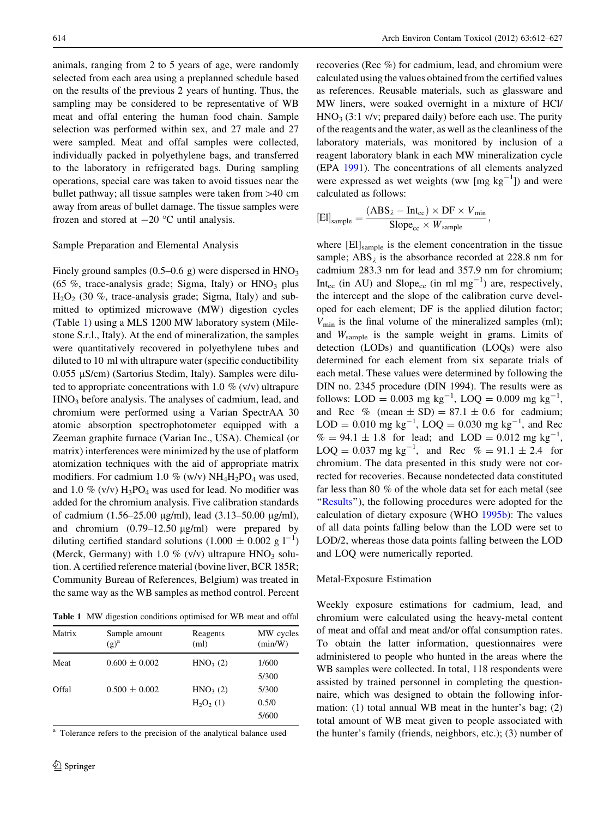animals, ranging from 2 to 5 years of age, were randomly selected from each area using a preplanned schedule based on the results of the previous 2 years of hunting. Thus, the sampling may be considered to be representative of WB meat and offal entering the human food chain. Sample selection was performed within sex, and 27 male and 27 were sampled. Meat and offal samples were collected, individually packed in polyethylene bags, and transferred to the laboratory in refrigerated bags. During sampling operations, special care was taken to avoid tissues near the bullet pathway; all tissue samples were taken from  $>40$  cm away from areas of bullet damage. The tissue samples were frozen and stored at  $-20$  °C until analysis.

#### Sample Preparation and Elemental Analysis

Finely ground samples  $(0.5-0.6 \text{ g})$  were dispersed in  $HNO<sub>3</sub>$ (65 %, trace-analysis grade; Sigma, Italy) or  $HNO<sub>3</sub>$  plus  $H_2O_2$  (30 %, trace-analysis grade; Sigma, Italy) and submitted to optimized microwave (MW) digestion cycles (Table 1) using a MLS 1200 MW laboratory system (Milestone S.r.l., Italy). At the end of mineralization, the samples were quantitatively recovered in polyethylene tubes and diluted to 10 ml with ultrapure water (specific conductibility  $0.055 \mu S/cm$ ) (Sartorius Stedim, Italy). Samples were diluted to appropriate concentrations with 1.0  $\%$  (v/v) ultrapure  $HNO<sub>3</sub>$  before analysis. The analyses of cadmium, lead, and chromium were performed using a Varian SpectrAA 30 atomic absorption spectrophotometer equipped with a Zeeman graphite furnace (Varian Inc., USA). Chemical (or matrix) interferences were minimized by the use of platform atomization techniques with the aid of appropriate matrix modifiers. For cadmium 1.0 % (w/v)  $NH_4H_2PO_4$  was used, and 1.0 % (v/v)  $H_3PO_4$  was used for lead. No modifier was added for the chromium analysis. Five calibration standards of cadmium  $(1.56-25.00 \text{ µg/ml})$ , lead  $(3.13-50.00 \text{ µg/ml})$ , and chromium  $(0.79-12.50 \text{ µg/ml})$  were prepared by diluting certified standard solutions  $(1.000 \pm 0.002 \text{ g l}^{-1})$ (Merck, Germany) with 1.0 % (v/v) ultrapure  $HNO<sub>3</sub>$  solution. A certified reference material (bovine liver, BCR 185R; Community Bureau of References, Belgium) was treated in the same way as the WB samples as method control. Percent

Table 1 MW digestion conditions optimised for WB meat and offal

| Matrix | Sample amount<br>$(g)^a$ | Reagents<br>(ml)     | MW cycles<br>(min/W) |
|--------|--------------------------|----------------------|----------------------|
| Meat   | $0.600 \pm 0.002$        | HNO <sub>3</sub> (2) | 1/600                |
|        |                          |                      | 5/300                |
| Offal  | $0.500 \pm 0.002$        | HNO <sub>3</sub> (2) | 5/300                |
|        |                          | $H_2O_2(1)$          | 0.5/0                |
|        |                          |                      | 5/600                |
|        |                          |                      |                      |

<sup>a</sup> Tolerance refers to the precision of the analytical balance used

recoveries (Rec %) for cadmium, lead, and chromium were calculated using the values obtained from the certified values as references. Reusable materials, such as glassware and MW liners, were soaked overnight in a mixture of HCl/  $HNO<sub>3</sub>$  (3:1 v/v; prepared daily) before each use. The purity of the reagents and the water, as well as the cleanliness of the laboratory materials, was monitored by inclusion of a reagent laboratory blank in each MW mineralization cycle (EPA [1991](#page-15-0)). The concentrations of all elements analyzed were expressed as wet weights (ww [mg  $kg^{-1}$ ]) and were calculated as follows:

$$
[E1]_{\text{sample}} = \frac{(ABS_{\lambda} - Int_{cc}) \times DF \times V_{\text{min}}}{Slope_{cc} \times W_{\text{sample}}},
$$

where [El]<sub>sample</sub> is the element concentration in the tissue sample;  $\text{ABS}_\lambda$  is the absorbance recorded at 228.8 nm for cadmium 283.3 nm for lead and 357.9 nm for chromium; Int<sub>cc</sub> (in AU) and Slope<sub>cc</sub> (in ml mg<sup>-1</sup>) are, respectively, the intercept and the slope of the calibration curve developed for each element; DF is the applied dilution factor;  $V_{\text{min}}$  is the final volume of the mineralized samples (ml); and Wsample is the sample weight in grams. Limits of detection (LODs) and quantification (LOQs) were also determined for each element from six separate trials of each metal. These values were determined by following the DIN no. 2345 procedure (DIN 1994). The results were as follows: LOD =  $0.003$  mg kg<sup>-1</sup>, LOQ =  $0.009$  mg kg<sup>-1</sup>, and Rec % (mean  $\pm$  SD) = 87.1  $\pm$  0.6 for cadmium;  $\text{LOD} = 0.010 \text{ mg kg}^{-1}$ ,  $\text{LOQ} = 0.030 \text{ mg kg}^{-1}$ , and Rec  $% = 94.1 \pm 1.8$  for lead; and LOD = 0.012 mg kg<sup>-1</sup>, LOQ = 0.037 mg kg<sup>-1</sup>, and Rec % = 91.1 ± 2.4 for chromium. The data presented in this study were not corrected for recoveries. Because nondetected data constituted far less than 80 % of the whole data set for each metal (see "[Results](#page-4-0)"), the following procedures were adopted for the calculation of dietary exposure (WHO [1995b\)](#page-15-0): The values of all data points falling below than the LOD were set to LOD/2, whereas those data points falling between the LOD and LOQ were numerically reported.

#### Metal-Exposure Estimation

Weekly exposure estimations for cadmium, lead, and chromium were calculated using the heavy-metal content of meat and offal and meat and/or offal consumption rates. To obtain the latter information, questionnaires were administered to people who hunted in the areas where the WB samples were collected. In total, 118 respondents were assisted by trained personnel in completing the questionnaire, which was designed to obtain the following information: (1) total annual WB meat in the hunter's bag; (2) total amount of WB meat given to people associated with the hunter's family (friends, neighbors, etc.); (3) number of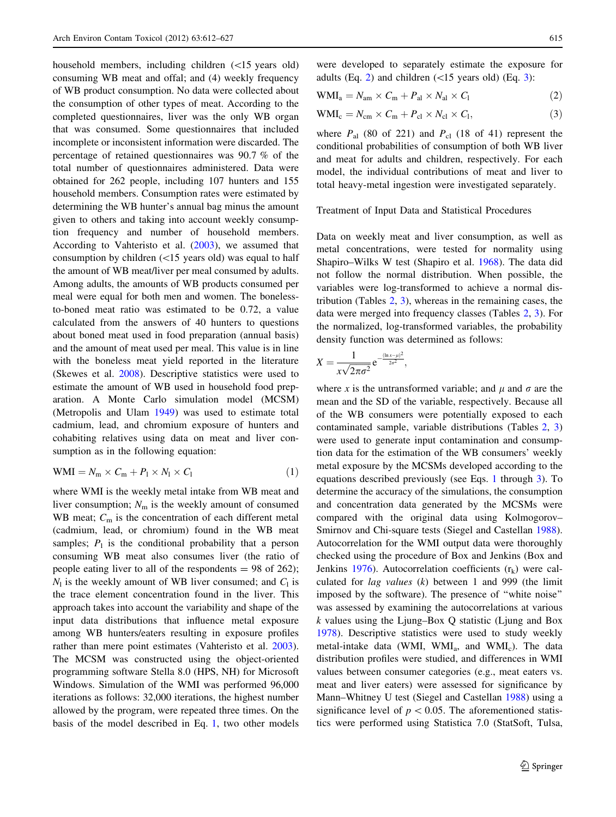<span id="page-3-0"></span>household members, including children  $(\leq 15 \text{ years old})$ consuming WB meat and offal; and (4) weekly frequency of WB product consumption. No data were collected about the consumption of other types of meat. According to the completed questionnaires, liver was the only WB organ that was consumed. Some questionnaires that included incomplete or inconsistent information were discarded. The percentage of retained questionnaires was 90.7 % of the total number of questionnaires administered. Data were obtained for 262 people, including 107 hunters and 155 household members. Consumption rates were estimated by determining the WB hunter's annual bag minus the amount given to others and taking into account weekly consumption frequency and number of household members. According to Vahteristo et al. ([2003](#page-15-0)), we assumed that consumption by children  $\left($  <15 years old) was equal to half the amount of WB meat/liver per meal consumed by adults. Among adults, the amounts of WB products consumed per meal were equal for both men and women. The bonelessto-boned meat ratio was estimated to be 0.72, a value calculated from the answers of 40 hunters to questions about boned meat used in food preparation (annual basis) and the amount of meat used per meal. This value is in line with the boneless meat yield reported in the literature (Skewes et al. [2008](#page-14-0)). Descriptive statistics were used to estimate the amount of WB used in household food preparation. A Monte Carlo simulation model (MCSM) (Metropolis and Ulam [1949](#page-14-0)) was used to estimate total cadmium, lead, and chromium exposure of hunters and cohabiting relatives using data on meat and liver consumption as in the following equation:

$$
WMI = N_m \times C_m + P_1 \times N_1 \times C_1 \tag{1}
$$

where WMI is the weekly metal intake from WB meat and liver consumption;  $N<sub>m</sub>$  is the weekly amount of consumed WB meat;  $C_m$  is the concentration of each different metal (cadmium, lead, or chromium) found in the WB meat samples;  $P_1$  is the conditional probability that a person consuming WB meat also consumes liver (the ratio of people eating liver to all of the respondents  $= 98$  of 262);  $N_1$  is the weekly amount of WB liver consumed; and  $C_1$  is the trace element concentration found in the liver. This approach takes into account the variability and shape of the input data distributions that influence metal exposure among WB hunters/eaters resulting in exposure profiles rather than mere point estimates (Vahteristo et al. [2003](#page-15-0)). The MCSM was constructed using the object-oriented programming software Stella 8.0 (HPS, NH) for Microsoft Windows. Simulation of the WMI was performed 96,000 iterations as follows: 32,000 iterations, the highest number allowed by the program, were repeated three times. On the basis of the model described in Eq. 1, two other models

were developed to separately estimate the exposure for adults (Eq. 2) and children  $(\leq 15$  years old) (Eq. 3):

$$
WMI_a = N_{am} \times C_m + P_{al} \times N_{al} \times C_l \tag{2}
$$

$$
WMI_c = N_{cm} \times C_m + P_{cl} \times N_{cl} \times C_l, \qquad (3)
$$

where  $P_{al}$  (80 of 221) and  $P_{cl}$  (18 of 41) represent the conditional probabilities of consumption of both WB liver and meat for adults and children, respectively. For each model, the individual contributions of meat and liver to total heavy-metal ingestion were investigated separately.

Treatment of Input Data and Statistical Procedures

Data on weekly meat and liver consumption, as well as metal concentrations, were tested for normality using Shapiro–Wilks W test (Shapiro et al. [1968\)](#page-14-0). The data did not follow the normal distribution. When possible, the variables were log-transformed to achieve a normal distribution (Tables [2,](#page-4-0) [3](#page-5-0)), whereas in the remaining cases, the data were merged into frequency classes (Tables [2](#page-4-0), [3\)](#page-5-0). For the normalized, log-transformed variables, the probability density function was determined as follows:

$$
X = \frac{1}{x\sqrt{2\pi\sigma^2}}e^{-\frac{(\ln x - \mu)^2}{2\sigma^2}},
$$

where x is the untransformed variable; and  $\mu$  and  $\sigma$  are the mean and the SD of the variable, respectively. Because all of the WB consumers were potentially exposed to each contaminated sample, variable distributions (Tables [2](#page-4-0), [3\)](#page-5-0) were used to generate input contamination and consumption data for the estimation of the WB consumers' weekly metal exposure by the MCSMs developed according to the equations described previously (see Eqs. 1 through 3). To determine the accuracy of the simulations, the consumption and concentration data generated by the MCSMs were compared with the original data using Kolmogorov– Smirnov and Chi-square tests (Siegel and Castellan [1988](#page-14-0)). Autocorrelation for the WMI output data were thoroughly checked using the procedure of Box and Jenkins (Box and Jenkins [1976](#page-13-0)). Autocorrelation coefficients  $(r_k)$  were calculated for *lag values*  $(k)$  between 1 and 999 (the limit imposed by the software). The presence of ''white noise'' was assessed by examining the autocorrelations at various k values using the Ljung–Box Q statistic (Ljung and Box [1978](#page-14-0)). Descriptive statistics were used to study weekly metal-intake data (WMI, WMI<sub>a</sub>, and WMI<sub>c</sub>). The data distribution profiles were studied, and differences in WMI values between consumer categories (e.g., meat eaters vs. meat and liver eaters) were assessed for significance by Mann–Whitney U test (Siegel and Castellan [1988\)](#page-14-0) using a significance level of  $p < 0.05$ . The aforementioned statistics were performed using Statistica 7.0 (StatSoft, Tulsa,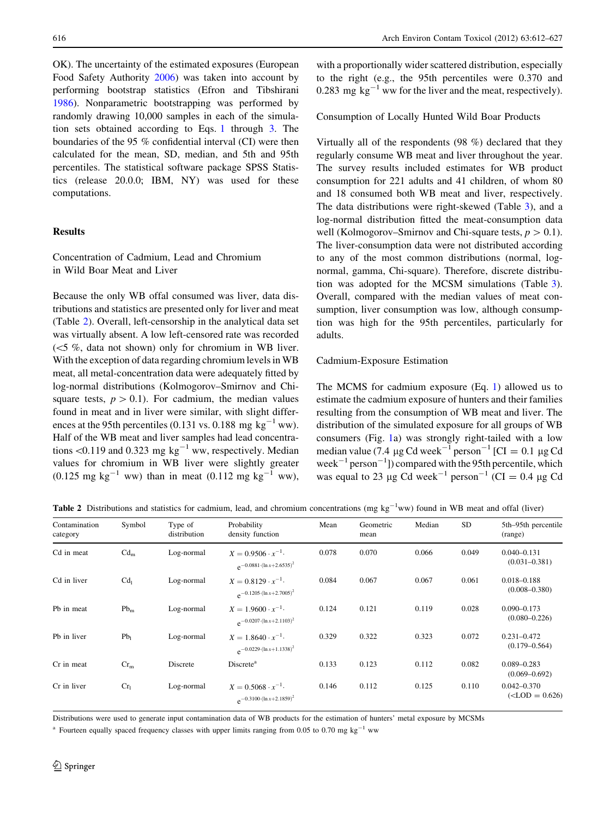<span id="page-4-0"></span>OK). The uncertainty of the estimated exposures (European Food Safety Authority [2006](#page-13-0)) was taken into account by performing bootstrap statistics (Efron and Tibshirani [1986\)](#page-13-0). Nonparametric bootstrapping was performed by randomly drawing 10,000 samples in each of the simulation sets obtained according to Eqs. [1](#page-3-0) through [3](#page-3-0). The boundaries of the 95 % confidential interval (CI) were then calculated for the mean, SD, median, and 5th and 95th percentiles. The statistical software package SPSS Statistics (release 20.0.0; IBM, NY) was used for these computations.

## Results

Concentration of Cadmium, Lead and Chromium in Wild Boar Meat and Liver

Because the only WB offal consumed was liver, data distributions and statistics are presented only for liver and meat (Table 2). Overall, left-censorship in the analytical data set was virtually absent. A low left-censored rate was recorded ( $\leq$ 5 %, data not shown) only for chromium in WB liver. With the exception of data regarding chromium levels in WB meat, all metal-concentration data were adequately fitted by log-normal distributions (Kolmogorov–Smirnov and Chisquare tests,  $p > 0.1$ ). For cadmium, the median values found in meat and in liver were similar, with slight differences at the 95th percentiles (0.131 vs. 0.188 mg kg<sup>-1</sup> ww). Half of the WB meat and liver samples had lead concentrations  $\leq 0.119$  and 0.323 mg kg<sup>-1</sup> ww, respectively. Median values for chromium in WB liver were slightly greater  $(0.125 \text{ mg kg}^{-1} \text{ ww})$  than in meat  $(0.112 \text{ mg kg}^{-1} \text{ww})$ ,

with a proportionally wider scattered distribution, especially to the right (e.g., the 95th percentiles were 0.370 and 0.283 mg  $kg^{-1}$  ww for the liver and the meat, respectively).

Consumption of Locally Hunted Wild Boar Products

Virtually all of the respondents (98 %) declared that they regularly consume WB meat and liver throughout the year. The survey results included estimates for WB product consumption for 221 adults and 41 children, of whom 80 and 18 consumed both WB meat and liver, respectively. The data distributions were right-skewed (Table [3](#page-5-0)), and a log-normal distribution fitted the meat-consumption data well (Kolmogorov–Smirnov and Chi-square tests,  $p > 0.1$ ). The liver-consumption data were not distributed according to any of the most common distributions (normal, lognormal, gamma, Chi-square). Therefore, discrete distribution was adopted for the MCSM simulations (Table [3](#page-5-0)). Overall, compared with the median values of meat consumption, liver consumption was low, although consumption was high for the 95th percentiles, particularly for adults.

### Cadmium-Exposure Estimation

The MCMS for cadmium exposure (Eq. [1](#page-3-0)) allowed us to estimate the cadmium exposure of hunters and their families resulting from the consumption of WB meat and liver. The distribution of the simulated exposure for all groups of WB consumers (Fig. [1a](#page-5-0)) was strongly right-tailed with a low median value (7.4  $\mu$ g Cd week<sup>-1</sup> person<sup>-1</sup> [CI = 0.1  $\mu$ g Cd week<sup> $-1$ </sup> person<sup> $-1$ </sup>]) compared with the 95th percentile, which was equal to 23 µg Cd week<sup>-1</sup> person<sup>-1</sup> (CI = 0.4 µg Cd

Table 2 Distributions and statistics for cadmium, lead, and chromium concentrations (mg  $kg^{-1}$ ww) found in WB meat and offal (liver) Contamination Symbol Type of Probability of the state of the state of the state of the state of the state of the state of the state of the state of the state of the state of the state of the state of the state of the state of the state of the state of  $\overline{\mathbf{M}}$  $\overline{M}$   $\overline{M}$   $\overline{M}$   $\overline{M}$   $\overline{M}$   $\overline{M}$   $\overline{M}$   $\overline{M}$   $\overline{M}$   $\overline{M}$   $\overline{M}$   $\overline{M}$   $\overline{M}$   $\overline{M}$   $\overline{M}$   $\overline{M}$   $\overline{M}$   $\overline{M}$   $\overline{M}$   $\overline{M}$   $\overline{M}$   $\overline{M}$   $\overline{M}$   $\overline{M}$   $\overline{$ 

| Contamination<br>category | Symbol          | Type of<br>distribution | Probability<br>density function                                       | Mean  | Geometric<br>mean | Median | -SD   | 5th–95th percentile<br>(range)       |
|---------------------------|-----------------|-------------------------|-----------------------------------------------------------------------|-------|-------------------|--------|-------|--------------------------------------|
| Cd in meat                | Cd <sub>m</sub> | Log-normal              | $X = 0.9506 \cdot x^{-1}$ .<br>$e^{-0.0881 \cdot (\ln x + 2.6535)^2}$ | 0.078 | 0.070             | 0.066  | 0.049 | $0.040 - 0.131$<br>$(0.031 - 0.381)$ |
| Cd in liver               | Cd <sub>1</sub> | Log-normal              | $X = 0.8129 \cdot x^{-1}$<br>$e^{-0.1205 \cdot (\ln x + 2.7005)^2}$   | 0.084 | 0.067             | 0.067  | 0.061 | $0.018 - 0.188$<br>$(0.008 - 0.380)$ |
| Pb in meat                | $Pb_m$          | Log-normal              | $X = 1.9600 \cdot x^{-1}$ .<br>$e^{-0.0207 \cdot (\ln x + 2.1103)^2}$ | 0.124 | 0.121             | 0.119  | 0.028 | $0.090 - 0.173$<br>$(0.080 - 0.226)$ |
| Pb in liver               | $Pb_1$          | Log-normal              | $X = 1.8640 \cdot x^{-1}$<br>$e^{-0.0229 \cdot (\ln x + 1.1338)^2}$   | 0.329 | 0.322             | 0.323  | 0.072 | $0.231 - 0.472$<br>$(0.179 - 0.564)$ |
| Cr in meat                | $Cr_m$          | Discrete                | Discrete <sup>a</sup>                                                 | 0.133 | 0.123             | 0.112  | 0.082 | $0.089 - 0.283$<br>$(0.069 - 0.692)$ |
| Cr in liver               | Cr <sub>1</sub> | Log-normal              | $X = 0.5068 \cdot x^{-1}$ .<br>$e^{-0.3100 \cdot (\ln x + 2.1859)^2}$ | 0.146 | 0.112             | 0.125  | 0.110 | $0.042 - 0.370$<br>$(LOD = 0.626)$   |

Distributions were used to generate input contamination data of WB products for the estimation of hunters' metal exposure by MCSMs

<sup>a</sup> Fourteen equally spaced frequency classes with upper limits ranging from 0.05 to 0.70 mg kg<sup>-1</sup> ww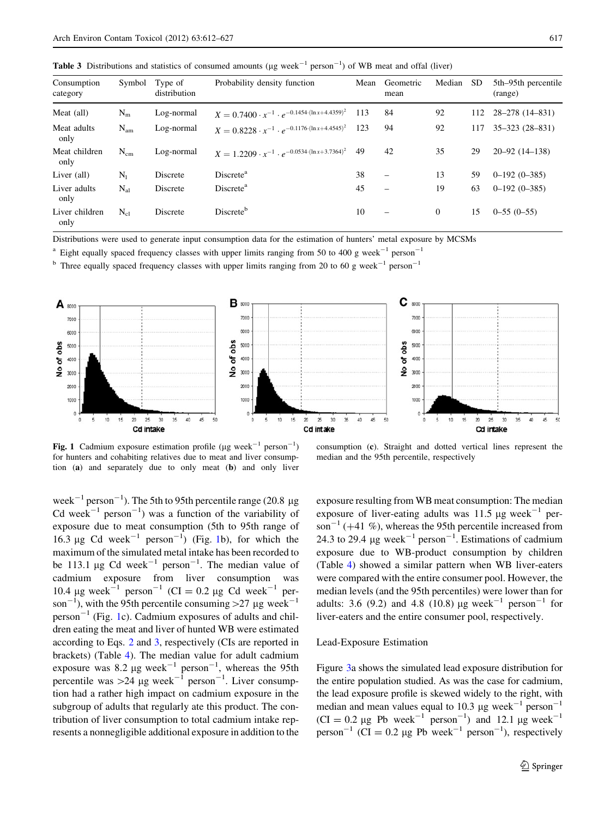| Consumption<br>category | Symbol       | Type of<br>distribution | Probability density function                                             | Mean  | Geometric<br>mean        | Median           | <b>SD</b> | 5th–95th percentile<br>(range) |
|-------------------------|--------------|-------------------------|--------------------------------------------------------------------------|-------|--------------------------|------------------|-----------|--------------------------------|
| Meat (all)              | $N_{m}$      | Log-normal              | $X = 0.7400 \cdot x^{-1} \cdot e^{-0.1454 \cdot (\ln x + 4.4359)^2}$     | - 113 | 84                       | 92               | 112       | $28 - 278$ (14 $-831$ )        |
| Meat adults<br>only     | $N_{\rm am}$ | Log-normal              | $X = 0.8228 \cdot x^{-1} \cdot e^{-0.1176 \cdot (\ln x + 4.4545)^2}$ 123 |       | 94                       | 92               | 117       | $35 - 323$ $(28 - 831)$        |
| Meat children<br>only   | $N_{\rm cm}$ | Log-normal              | $X = 1.2209 \cdot x^{-1} \cdot e^{-0.0534 \cdot (\ln x + 3.7364)^2}$     | 49    | 42                       | 35               | 29        | $20 - 92(14 - 138)$            |
| Liver (all)             | $N_1$        | Discrete                | Discrete <sup>a</sup>                                                    | 38    | $\overline{\phantom{0}}$ | 13               | 59        | $0-192(0-385)$                 |
| Liver adults<br>only    | $N_{al}$     | Discrete                | Discrete <sup>a</sup>                                                    | 45    | $\overline{\phantom{a}}$ | 19               | 63        | $0-192(0-385)$                 |
| Liver children<br>only  | $N_{cl}$     | Discrete                | Discrete <sup>b</sup>                                                    | 10    | $\qquad \qquad$          | $\boldsymbol{0}$ | 15        | $0-55(0-55)$                   |

<span id="page-5-0"></span>**Table 3** Distributions and statistics of consumed amounts ( $\mu$ g week<sup>-1</sup> person<sup>-1</sup>) of WB meat and offal (liver)

Distributions were used to generate input consumption data for the estimation of hunters' metal exposure by MCSMs

<sup>a</sup> Eight equally spaced frequency classes with upper limits ranging from 50 to 400 g week<sup>-1</sup> person<sup>-1</sup>

 $<sup>b</sup>$  Three equally spaced frequency classes with upper limits ranging from 20 to 60 g week<sup>-1</sup> person<sup>-1</sup></sup>



Fig. 1 Cadmium exposure estimation profile ( $\mu$ g week<sup>-1</sup> person<sup>-1</sup>) for hunters and cohabiting relatives due to meat and liver consumption (a) and separately due to only meat (b) and only liver

consumption (c). Straight and dotted vertical lines represent the median and the 95th percentile, respectively

week<sup>-1</sup> person<sup>-1</sup>). The 5th to 95th percentile range (20.8  $\mu$ g Cd week<sup>-1</sup> person<sup>-1</sup>) was a function of the variability of exposure due to meat consumption (5th to 95th range of 16.3  $\mu$ g Cd week<sup>-1</sup> person<sup>-1</sup>) (Fig. 1b), for which the maximum of the simulated metal intake has been recorded to be 113.1  $\mu$ g Cd week<sup>-1</sup> person<sup>-1</sup>. The median value of cadmium exposure from liver consumption was 10.4  $\mu$ g week<sup>-1</sup> person<sup>-1</sup> (CI = 0.2  $\mu$ g Cd week<sup>-1</sup> person<sup>-1</sup>), with the 95th percentile consuming >27  $\mu$ g week<sup>-1</sup>  $person^{-1}$  (Fig. 1c). Cadmium exposures of adults and children eating the meat and liver of hunted WB were estimated according to Eqs. [2](#page-3-0) and [3](#page-3-0), respectively (CIs are reported in brackets) (Table [4\)](#page-6-0). The median value for adult cadmium exposure was 8.2  $\mu$ g week<sup>-1</sup> person<sup>-1</sup>, whereas the 95th percentile was  $>$ 24 µg week<sup>-1</sup> person<sup>-1</sup>. Liver consumption had a rather high impact on cadmium exposure in the subgroup of adults that regularly ate this product. The contribution of liver consumption to total cadmium intake represents a nonnegligible additional exposure in addition to the

exposure resulting from WB meat consumption: The median exposure of liver-eating adults was 11.5  $\mu$ g week<sup>-1</sup> person<sup>-1</sup> (+41 %), whereas the 95th percentile increased from 24.3 to 29.4  $\mu$ g week<sup>-1</sup> person<sup>-1</sup>. Estimations of cadmium exposure due to WB-product consumption by children (Table [4\)](#page-6-0) showed a similar pattern when WB liver-eaters were compared with the entire consumer pool. However, the median levels (and the 95th percentiles) were lower than for adults: 3.6 (9.2) and 4.8 (10.8)  $\mu$ g week<sup>-1</sup> person<sup>-1</sup> for liver-eaters and the entire consumer pool, respectively.

## Lead-Exposure Estimation

Figure [3a](#page-7-0) shows the simulated lead exposure distribution for the entire population studied. As was the case for cadmium, the lead exposure profile is skewed widely to the right, with median and mean values equal to 10.3  $\mu$ g week<sup>-1</sup> person<sup>-1</sup>  $(CI = 0.2 \mu g$  Pb week<sup>-1</sup> person<sup>-1</sup>) and 12.1  $\mu g$  week<sup>-1</sup> person<sup>-1</sup> (CI = 0.2 µg Pb week<sup>-1</sup> person<sup>-1</sup>), respectively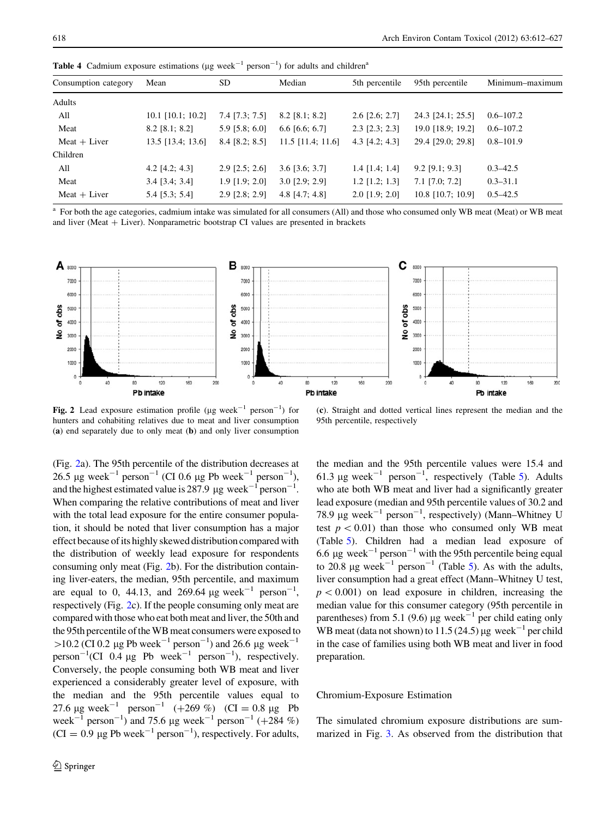| Consumption category | Mean                    | SD.                     | Median                  | 5th percentile          | 95th percentile   | Minimum-maximum |
|----------------------|-------------------------|-------------------------|-------------------------|-------------------------|-------------------|-----------------|
| Adults               |                         |                         |                         |                         |                   |                 |
| All                  | $10.1$ [10.1; 10.2]     | $7.4$ [7.3; 7.5]        | $8.2$ [8.1; 8.2]        | $2.6$ [ $2.6$ ; $2.7$ ] | 24.3 [24.1; 25.5] | $0.6 - 107.2$   |
| Meat                 | $8.2$ [8.1; 8.2]        | $5.9$ [5.8; 6.0]        | $6.6$ [6.6; 6.7]        | $2.3$ [ $2.3$ ; $2.3$ ] | 19.0 [18.9; 19.2] | $0.6 - 107.2$   |
| $Meat + Liver$       | 13.5 [13.4; 13.6]       | $8.4$ [ $8.2$ ; $8.5$ ] | $11.5$ [11.4; 11.6]     | 4.3 $[4.2; 4.3]$        | 29.4 [29.0; 29.8] | $0.8 - 101.9$   |
| Children             |                         |                         |                         |                         |                   |                 |
| All                  | 4.2 $[4.2; 4.3]$        | $2.9$ [ $2.5$ ; $2.6$ ] | $3.6$ [ $3.6$ ; $3.7$ ] | $1.4$ [1.4; 1.4]        | $9.2$ [9.1; 9.3]  | $0.3 - 42.5$    |
| Meat                 | $3.4$ [ $3.4$ ; $3.4$ ] | $1.9$ [1.9; 2.0]        | $3.0$ [2.9; 2.9]        | $1.2$ [1.2; 1.3]        | $7.1$ [7.0; 7.2]  | $0.3 - 31.1$    |
| $Meat + Liver$       | 5.4 [5.3; 5.4]          | $2.9$ [ $2.8$ ; $2.9$ ] | 4.8 $[4.7; 4.8]$        | $2.0$ [1.9; $2.0$ ]     | 10.8 [10.7; 10.9] | $0.5 - 42.5$    |
|                      |                         |                         |                         |                         |                   |                 |

<span id="page-6-0"></span>**Table 4** Cadmium exposure estimations ( $\mu$ g week<sup>-1</sup> person<sup>-1</sup>) for adults and children<sup>a</sup>

<sup>a</sup> For both the age categories, cadmium intake was simulated for all consumers (All) and those who consumed only WB meat (Meat) or WB meat and liver (Meat  $+$  Liver). Nonparametric bootstrap CI values are presented in brackets



Fig. 2 Lead exposure estimation profile ( $\mu$ g week<sup>-1</sup> person<sup>-1</sup>) for hunters and cohabiting relatives due to meat and liver consumption (a) end separately due to only meat (b) and only liver consumption

(Fig. 2a). The 95th percentile of the distribution decreases at 26.5 µg week<sup>-1</sup> person<sup>-1</sup> (CI 0.6 µg Pb week<sup>-1</sup> person<sup>-1</sup>), and the highest estimated value is 287.9  $\mu$ g week<sup>-1</sup> person<sup>-1</sup> . When comparing the relative contributions of meat and liver with the total lead exposure for the entire consumer population, it should be noted that liver consumption has a major effect because of its highly skewed distribution compared with the distribution of weekly lead exposure for respondents consuming only meat (Fig. 2b). For the distribution containing liver-eaters, the median, 95th percentile, and maximum are equal to 0, 44.13, and 269.64  $\mu$ g week<sup>-1</sup> person<sup>-1</sup>, respectively (Fig. 2c). If the people consuming only meat are compared with those who eat both meat and liver, the 50th and the 95th percentile of the WB meat consumers were exposed to  $>$ 10.2 (CI 0.2 µg Pb week<sup>-1</sup> person<sup>-1</sup>) and 26.6 µg week<sup>-1</sup> person<sup>-1</sup>(CI 0.4 µg Pb week<sup>-1</sup> person<sup>-1</sup>), respectively. Conversely, the people consuming both WB meat and liver experienced a considerably greater level of exposure, with the median and the 95th percentile values equal to 27.6  $\mu$ g week<sup>-1</sup> person<sup>-1</sup> (+269 %) (CI = 0.8  $\mu$ g Pb week<sup>-1</sup> person<sup>-1</sup>) and 75.6 µg week<sup>-1</sup> person<sup>-1</sup> (+284 %)  $\text{(CI = 0.9 }\mu\text{g Pb week}^{-1} \text{ person}^{-1})$ , respectively. For adults,

(c). Straight and dotted vertical lines represent the median and the 95th percentile, respectively

the median and the 95th percentile values were 15.4 and 61.3 µg week<sup>-1</sup> person<sup>-1</sup>, respectively (Table [5\)](#page-7-0). Adults who ate both WB meat and liver had a significantly greater lead exposure (median and 95th percentile values of 30.2 and 78.9  $\mu$ g week<sup>-1</sup> person<sup>-1</sup>, respectively) (Mann-Whitney U test  $p < 0.01$ ) than those who consumed only WB meat (Table [5\)](#page-7-0). Children had a median lead exposure of 6.6  $\mu$ g week<sup>-1</sup> person<sup>-1</sup> with the 95th percentile being equal to 20.8  $\mu$ g week<sup>-1</sup> person<sup>-1</sup> (Table [5\)](#page-7-0). As with the adults, liver consumption had a great effect (Mann–Whitney U test,  $p<0.001$ ) on lead exposure in children, increasing the median value for this consumer category (95th percentile in parentheses) from 5.1 (9.6)  $\mu$ g week<sup>-1</sup> per child eating only WB meat (data not shown) to 11.5 (24.5)  $\mu$ g week<sup>-1</sup> per child in the case of families using both WB meat and liver in food preparation.

#### Chromium-Exposure Estimation

The simulated chromium exposure distributions are summarized in Fig. [3](#page-7-0). As observed from the distribution that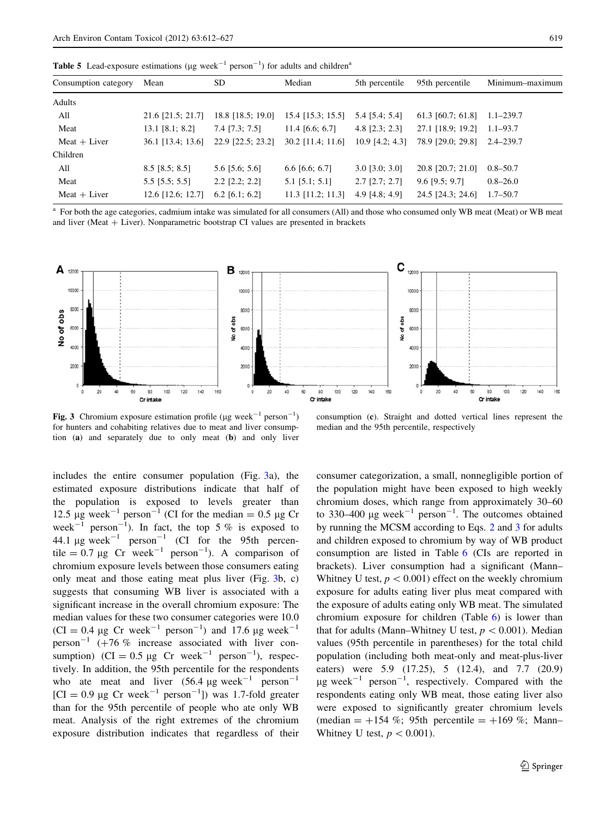<span id="page-7-0"></span>**Table 5** Lead-exposure estimations ( $\mu$ g week<sup>-1</sup> person<sup>-1</sup>) for adults and children<sup>a</sup>

| Consumption category | Mean              | <b>SD</b>         | Median              | 5th percentile          | 95th percentile   | Minimum-maximum |
|----------------------|-------------------|-------------------|---------------------|-------------------------|-------------------|-----------------|
| Adults               |                   |                   |                     |                         |                   |                 |
| All                  | 21.6 [21.5; 21.7] | 18.8 [18.5; 19.0] | $15.4$ [15.3; 15.5] | $5.4$ [5.4; 5.4]        | 61.3 [60.7; 61.8] | $1.1 - 239.7$   |
| Meat                 | $13.1$ [8.1; 8.2] | 7.4 [7.3; 7.5]    | $11.4$ [6.6; 6.7]   | $4.8$ [2.3; 2.3]        | 27.1 [18.9; 19.2] | $1.1 - 93.7$    |
| $Meat + Liver$       | 36.1 [13.4; 13.6] | 22.9 [22.5; 23.2] | 30.2 [11.4; 11.6]   | $10.9$ [4.2; 4.3]       | 78.9 [29.0; 29.8] | $2.4 - 239.7$   |
| Children             |                   |                   |                     |                         |                   |                 |
| All                  | $8.5$ [8.5; 8.5]  | $5.6$ [5.6; 5.6]  | $6.6$ [6.6; 6.7]    | $3.0$ [ $3.0$ ; $3.0$ ] | 20.8 [20.7; 21.0] | $0.8 - 50.7$    |
| Meat                 | $5.5$ [5.5; 5.5]  | $2.2$ [2.2; 2.2]  | $5.1$ [5.1; 5.1]    | $2.7$ [ $2.7$ ; $2.7$ ] | $9.6$ [9.5; 9.7]  | $0.8 - 26.0$    |
| $Meat + Liver$       | 12.6 [12.6; 12.7] | $6.2$ [6.1; 6.2]  | 11.3 [11.2; 11.3]   | $4.9$ [ $4.8$ ; $4.9$ ] | 24.5 [24.3; 24.6] | $1.7 - 50.7$    |
|                      |                   |                   |                     |                         |                   |                 |

<sup>a</sup> For both the age categories, cadmium intake was simulated for all consumers (All) and those who consumed only WB meat (Meat) or WB meat and liver (Meat  $+$  Liver). Nonparametric bootstrap CI values are presented in brackets



Fig. 3 Chromium exposure estimation profile ( $\mu$ g week<sup>-1</sup> person<sup>-1</sup>) for hunters and cohabiting relatives due to meat and liver consumption (a) and separately due to only meat (b) and only liver

consumption (c). Straight and dotted vertical lines represent the median and the 95th percentile, respectively

includes the entire consumer population (Fig.  $3a$ ), the estimated exposure distributions indicate that half of the population is exposed to levels greater than 12.5  $\mu$ g week<sup>-1</sup> person<sup>-1</sup> (CI for the median = 0.5  $\mu$ g Cr week<sup>-1</sup> person<sup>-1</sup>). In fact, the top 5 % is exposed to 44.1  $\mu$ g week<sup>-1</sup> person<sup>-1</sup> (CI for the 95th percentile = 0.7 µg Cr week<sup>-1</sup> person<sup>-1</sup>). A comparison of chromium exposure levels between those consumers eating only meat and those eating meat plus liver (Fig. 3b, c) suggests that consuming WB liver is associated with a significant increase in the overall chromium exposure: The median values for these two consumer categories were 10.0  $(CI = 0.4 \text{ µg Cr week}^{-1} \text{ person}^{-1})$  and 17.6  $\mu$ g week<sup>-1</sup> person<sup>-1</sup> ( $+76\%$  increase associated with liver consumption) (CI =  $0.5 \mu g$  Cr week<sup>-1</sup> person<sup>-1</sup>), respectively. In addition, the 95th percentile for the respondents who ate meat and liver  $(56.4 \text{ µg week}^{-1} \text{ person}^{-1}$ [CI = 0.9 µg Cr week<sup>-1</sup> person<sup>-1</sup>]) was 1.7-fold greater than for the 95th percentile of people who ate only WB meat. Analysis of the right extremes of the chromium exposure distribution indicates that regardless of their consumer categorization, a small, nonnegligible portion of the population might have been exposed to high weekly chromium doses, which range from approximately 30–60 to 330–400  $\mu$ g week<sup>-1</sup> person<sup>-1</sup>. The outcomes obtained by running the MCSM according to Eqs. [2](#page-3-0) and [3](#page-3-0) for adults and children exposed to chromium by way of WB product consumption are listed in Table [6](#page-8-0) (CIs are reported in brackets). Liver consumption had a significant (Mann– Whitney U test,  $p < 0.001$ ) effect on the weekly chromium exposure for adults eating liver plus meat compared with the exposure of adults eating only WB meat. The simulated chromium exposure for children (Table [6\)](#page-8-0) is lower than that for adults (Mann–Whitney U test,  $p < 0.001$ ). Median values (95th percentile in parentheses) for the total child population (including both meat-only and meat-plus-liver eaters) were 5.9 (17.25), 5 (12.4), and 7.7 (20.9)  $\mu$ g week<sup>-1</sup> person<sup>-1</sup>, respectively. Compared with the respondents eating only WB meat, those eating liver also were exposed to significantly greater chromium levels (median  $= +154$  %; 95th percentile  $= +169$  %; Mann– Whitney U test,  $p < 0.001$ ).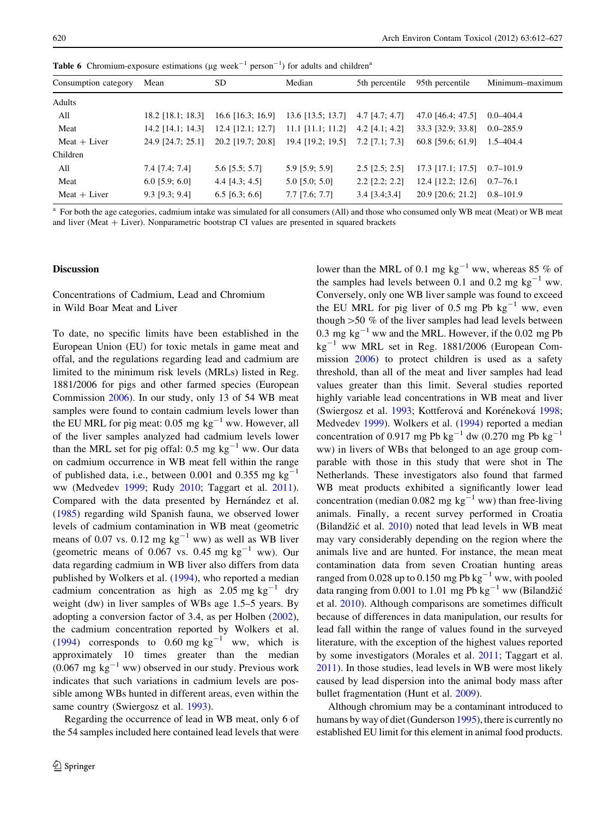<span id="page-8-0"></span>

| <b>Table 6</b> Chromium-exposure estimations ( $\mu$ g week <sup>-1</sup> person <sup>-1</sup> ) for adults and children <sup>a</sup> |  |        |                       |  |
|---------------------------------------------------------------------------------------------------------------------------------------|--|--------|-----------------------|--|
| Consumption category Mean                                                                                                             |  | Median | 5th percentile 95th n |  |

| Consumption category | Mean              | SD.                                   | Median                                             | 5th percentile          | 95th percentile               | Minimum-maximum |
|----------------------|-------------------|---------------------------------------|----------------------------------------------------|-------------------------|-------------------------------|-----------------|
| Adults               |                   |                                       |                                                    |                         |                               |                 |
| All                  | 18.2 [18.1; 18.3] | $16.6$ [16.3; 16.9]                   | $13.6$ [13.5; 13.7] 4.7 [4.7; 4.7]                 |                         | 47.0 [46.4; 47.5]             | $0.0 - 404.4$   |
| Meat                 |                   | $14.2$ [14.1; 14.3] 12.4 [12.1; 12.7] | $11.1$ [11.1; 11.2]                                | $4.2$ [4.1; 4.2]        | 33.3 [32.9; 33.8]             | $0.0 - 285.9$   |
| $Meat + Liver$       | 24.9 [24.7; 25.1] |                                       | 20.2 [19.7; 20.8] 19.4 [19.2; 19.5] 7.2 [7.1; 7.3] |                         | $60.8$ [59.6; 61.9] 1.5–404.4 |                 |
| Children             |                   |                                       |                                                    |                         |                               |                 |
| All                  | 7.4 [7.4; 7.4]    | $5.6$ [5.5; 5.7]                      | $5.9$ [5.9; 5.9]                                   | $2.5$ [ $2.5$ ; $2.5$ ] | $17.3$ [17.1; 17.5]           | $0.7 - 101.9$   |
| Meat                 | $6.0$ [5.9; 6.0]  | 4.4 $[4.3; 4.5]$                      | $5.0$ [5.0; 5.0]                                   | $2.2$ [2.2; 2.2]        | $12.4$ [12.2; 12.6]           | $0.7 - 76.1$    |
| $Meat + Liver$       | $9.3$ [9.3; 9.4]  | $6.5$ [6.3; 6.6]                      | 7.7 [7.6; 7.7]                                     | 3.4 [3.4:3.4]           | 20.9 [20.6; 21.2]             | $0.8 - 101.9$   |

<sup>a</sup> For both the age categories, cadmium intake was simulated for all consumers (All) and those who consumed only WB meat (Meat) or WB meat and liver (Meat  $+$  Liver). Nonparametric bootstrap CI values are presented in squared brackets

### Discussion

Concentrations of Cadmium, Lead and Chromium in Wild Boar Meat and Liver

To date, no specific limits have been established in the European Union (EU) for toxic metals in game meat and offal, and the regulations regarding lead and cadmium are limited to the minimum risk levels (MRLs) listed in Reg. 1881/2006 for pigs and other farmed species (European Commission [2006\)](#page-13-0). In our study, only 13 of 54 WB meat samples were found to contain cadmium levels lower than the EU MRL for pig meat: 0.05 mg  $kg^{-1}$  ww. However, all of the liver samples analyzed had cadmium levels lower than the MRL set for pig offal:  $0.5 \text{ mg kg}^{-1}$  ww. Our data on cadmium occurrence in WB meat fell within the range of published data, i.e., between 0.001 and 0.355 mg kg<sup>-1</sup> ww (Medvedev [1999](#page-14-0); Rudy [2010;](#page-14-0) Taggart et al. [2011](#page-15-0)). Compared with the data presented by Hernández et al. [\(1985](#page-14-0)) regarding wild Spanish fauna, we observed lower levels of cadmium contamination in WB meat (geometric means of 0.07 vs. 0.12 mg  $kg^{-1}$  ww) as well as WB liver (geometric means of 0.067 vs. 0.45 mg  $kg^{-1}$  ww). Our data regarding cadmium in WB liver also differs from data published by Wolkers et al. ([1994\)](#page-15-0), who reported a median cadmium concentration as high as  $2.05 \text{ mg kg}^{-1}$  dry weight (dw) in liver samples of WBs age 1.5–5 years. By adopting a conversion factor of 3.4, as per Holben [\(2002](#page-14-0)), the cadmium concentration reported by Wolkers et al. [\(1994](#page-15-0)) corresponds to  $0.60$  mg kg<sup>-1</sup> ww, which is approximately 10 times greater than the median  $(0.067 \text{ mg kg}^{-1}$  ww) observed in our study. Previous work indicates that such variations in cadmium levels are possible among WBs hunted in different areas, even within the same country (Swiergosz et al. [1993\)](#page-15-0).

Regarding the occurrence of lead in WB meat, only 6 of the 54 samples included here contained lead levels that were

lower than the MRL of 0.1 mg  $kg^{-1}$  ww, whereas 85 % of the samples had levels between 0.1 and 0.2 mg  $kg^{-1}$  ww. Conversely, only one WB liver sample was found to exceed the EU MRL for pig liver of 0.5 mg Pb  $kg^{-1}$  ww, even though  $>50$  % of the liver samples had lead levels between 0.3 mg  $kg^{-1}$  ww and the MRL. However, if the 0.02 mg Pb  $kg^{-1}$  ww MRL set in Reg. 1881/2006 (European Commission [2006](#page-13-0)) to protect children is used as a safety threshold, than all of the meat and liver samples had lead values greater than this limit. Several studies reported highly variable lead concentrations in WB meat and liver (Swiergosz et al. [1993](#page-15-0); Kottferová and Koréneková [1998](#page-14-0); Medvedev [1999](#page-14-0)). Wolkers et al. [\(1994](#page-15-0)) reported a median concentration of 0.917 mg Pb kg<sup>-1</sup> dw (0.270 mg Pb kg<sup>-1</sup> ww) in livers of WBs that belonged to an age group comparable with those in this study that were shot in The Netherlands. These investigators also found that farmed WB meat products exhibited a significantly lower lead concentration (median 0.082 mg kg<sup>-1</sup> ww) than free-living animals. Finally, a recent survey performed in Croatia (Bilandžić et al.  $2010$ ) noted that lead levels in WB meat may vary considerably depending on the region where the animals live and are hunted. For instance, the mean meat contamination data from seven Croatian hunting areas ranged from 0.028 up to 0.150 mg Pb  $kg^{-1}$  ww, with pooled data ranging from 0.001 to 1.01 mg Pb  $kg^{-1}$  ww (Bilandžić et al. [2010\)](#page-13-0). Although comparisons are sometimes difficult because of differences in data manipulation, our results for lead fall within the range of values found in the surveyed literature, with the exception of the highest values reported by some investigators (Morales et al. [2011;](#page-14-0) Taggart et al. [2011](#page-15-0)). In those studies, lead levels in WB were most likely caused by lead dispersion into the animal body mass after bullet fragmentation (Hunt et al. [2009\)](#page-14-0).

Although chromium may be a contaminant introduced to humans by way of diet (Gunderson [1995\)](#page-13-0), there is currently no established EU limit for this element in animal food products.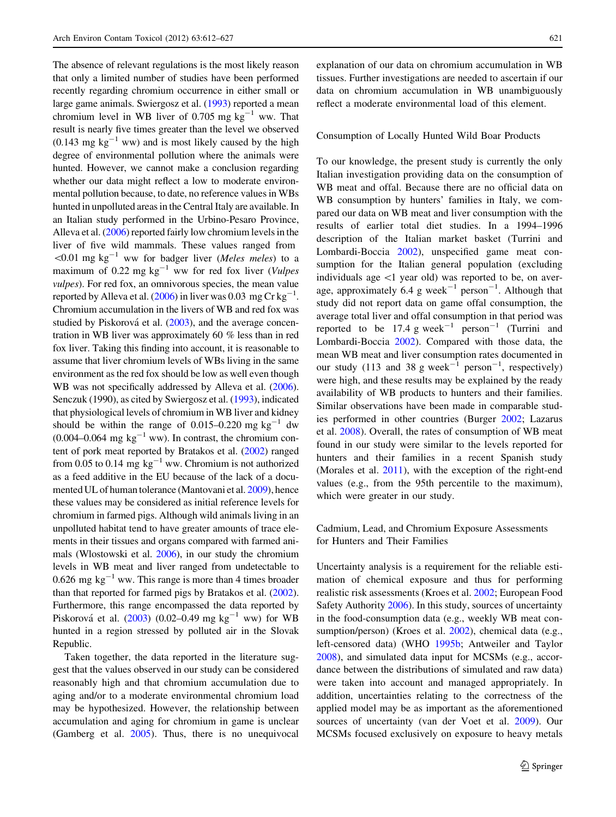The absence of relevant regulations is the most likely reason that only a limited number of studies have been performed recently regarding chromium occurrence in either small or large game animals. Swiergosz et al. [\(1993\)](#page-15-0) reported a mean chromium level in WB liver of 0.705 mg  $kg^{-1}$  ww. That result is nearly five times greater than the level we observed  $(0.143 \text{ mg kg}^{-1}$  ww) and is most likely caused by the high degree of environmental pollution where the animals were hunted. However, we cannot make a conclusion regarding whether our data might reflect a low to moderate environmental pollution because, to date, no reference values in WBs hunted in unpolluted areas in the Central Italy are available. In an Italian study performed in the Urbino-Pesaro Province, Alleva et al. [\(2006\)](#page-13-0) reported fairly low chromium levels in the liver of five wild mammals. These values ranged from  $\leq 0.01$  mg kg<sup>-1</sup> ww for badger liver (*Meles meles*) to a maximum of 0.22 mg  $kg^{-1}$  ww for red fox liver (Vulpes vulpes). For red fox, an omnivorous species, the mean value reported by Alleva et al. [\(2006\)](#page-13-0) in liver was 0.03 mg Cr  $kg^{-1}$ . Chromium accumulation in the livers of WB and red fox was studied by Piskorová et al.  $(2003)$  $(2003)$  $(2003)$ , and the average concentration in WB liver was approximately 60 % less than in red fox liver. Taking this finding into account, it is reasonable to assume that liver chromium levels of WBs living in the same environment as the red fox should be low as well even though WB was not specifically addressed by Alleva et al. ([2006](#page-13-0)). Senczuk (1990), as cited by Swiergosz et al. [\(1993\)](#page-15-0), indicated that physiological levels of chromium in WB liver and kidney should be within the range of  $0.015-0.220$  mg kg<sup>-1</sup> dw  $(0.004-0.064 \text{ mg kg}^{-1}$  ww). In contrast, the chromium content of pork meat reported by Bratakos et al. [\(2002\)](#page-13-0) ranged from 0.05 to 0.14 mg  $kg^{-1}$  ww. Chromium is not authorized as a feed additive in the EU because of the lack of a documented UL of human tolerance (Mantovani et al. [2009\)](#page-14-0), hence these values may be considered as initial reference levels for chromium in farmed pigs. Although wild animals living in an unpolluted habitat tend to have greater amounts of trace elements in their tissues and organs compared with farmed animals (Wlostowski et al. [2006\)](#page-15-0), in our study the chromium levels in WB meat and liver ranged from undetectable to 0.626 mg  $kg^{-1}$  ww. This range is more than 4 times broader than that reported for farmed pigs by Bratakos et al. ([2002](#page-13-0)). Furthermore, this range encompassed the data reported by Piskorová et al. [\(2003\)](#page-14-0) (0.02–0.49 mg kg<sup>-1</sup> ww) for WB hunted in a region stressed by polluted air in the Slovak Republic.

Taken together, the data reported in the literature suggest that the values observed in our study can be considered reasonably high and that chromium accumulation due to aging and/or to a moderate environmental chromium load may be hypothesized. However, the relationship between accumulation and aging for chromium in game is unclear (Gamberg et al. [2005](#page-13-0)). Thus, there is no unequivocal explanation of our data on chromium accumulation in WB tissues. Further investigations are needed to ascertain if our data on chromium accumulation in WB unambiguously reflect a moderate environmental load of this element.

#### Consumption of Locally Hunted Wild Boar Products

To our knowledge, the present study is currently the only Italian investigation providing data on the consumption of WB meat and offal. Because there are no official data on WB consumption by hunters' families in Italy, we compared our data on WB meat and liver consumption with the results of earlier total diet studies. In a 1994–1996 description of the Italian market basket (Turrini and Lombardi-Boccia [2002](#page-15-0)), unspecified game meat consumption for the Italian general population (excluding individuals age  $\leq 1$  year old) was reported to be, on average, approximately 6.4 g week<sup>-1</sup> person<sup>-1</sup>. Although that study did not report data on game offal consumption, the average total liver and offal consumption in that period was reported to be 17.4 g week<sup>-1</sup> person<sup>-1</sup> (Turrini and Lombardi-Boccia [2002\)](#page-15-0). Compared with those data, the mean WB meat and liver consumption rates documented in our study (113 and 38 g week<sup>-1</sup> person<sup>-1</sup>, respectively) were high, and these results may be explained by the ready availability of WB products to hunters and their families. Similar observations have been made in comparable studies performed in other countries (Burger [2002;](#page-13-0) Lazarus et al. [2008\)](#page-14-0). Overall, the rates of consumption of WB meat found in our study were similar to the levels reported for hunters and their families in a recent Spanish study (Morales et al. [2011](#page-14-0)), with the exception of the right-end values (e.g., from the 95th percentile to the maximum), which were greater in our study.

# Cadmium, Lead, and Chromium Exposure Assessments for Hunters and Their Families

Uncertainty analysis is a requirement for the reliable estimation of chemical exposure and thus for performing realistic risk assessments (Kroes et al. [2002](#page-14-0); European Food Safety Authority [2006\)](#page-13-0). In this study, sources of uncertainty in the food-consumption data (e.g., weekly WB meat consumption/person) (Kroes et al. [2002](#page-14-0)), chemical data (e.g., left-censored data) (WHO [1995b](#page-15-0); Antweiler and Taylor [2008](#page-13-0)), and simulated data input for MCSMs (e.g., accordance between the distributions of simulated and raw data) were taken into account and managed appropriately. In addition, uncertainties relating to the correctness of the applied model may be as important as the aforementioned sources of uncertainty (van der Voet et al. [2009\)](#page-15-0). Our MCSMs focused exclusively on exposure to heavy metals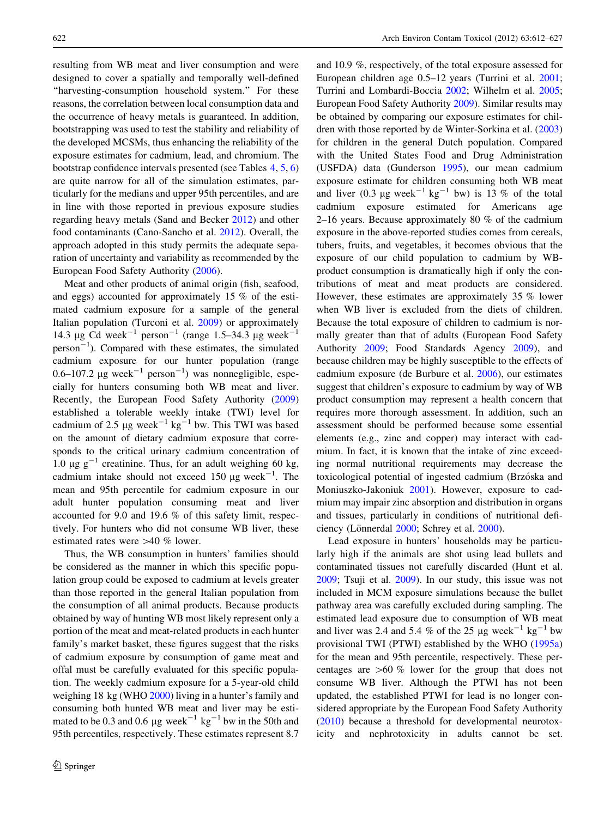resulting from WB meat and liver consumption and were designed to cover a spatially and temporally well-defined "harvesting-consumption household system." For these reasons, the correlation between local consumption data and the occurrence of heavy metals is guaranteed. In addition, bootstrapping was used to test the stability and reliability of the developed MCSMs, thus enhancing the reliability of the exposure estimates for cadmium, lead, and chromium. The bootstrap confidence intervals presented (see Tables [4,](#page-6-0) [5](#page-7-0), [6\)](#page-8-0) are quite narrow for all of the simulation estimates, particularly for the medians and upper 95th percentiles, and are in line with those reported in previous exposure studies regarding heavy metals (Sand and Becker [2012](#page-14-0)) and other food contaminants (Cano-Sancho et al. [2012](#page-13-0)). Overall, the approach adopted in this study permits the adequate separation of uncertainty and variability as recommended by the European Food Safety Authority ([2006\)](#page-13-0).

Meat and other products of animal origin (fish, seafood, and eggs) accounted for approximately 15 % of the estimated cadmium exposure for a sample of the general Italian population (Turconi et al. [2009\)](#page-15-0) or approximately 14.3 µg Cd week<sup>-1</sup> person<sup>-1</sup> (range 1.5–34.3 µg week<sup>-1</sup> person<sup>-1</sup>). Compared with these estimates, the simulated cadmium exposure for our hunter population (range 0.6–107.2 µg week<sup>-1</sup> person<sup>-1</sup>) was nonnegligible, especially for hunters consuming both WB meat and liver. Recently, the European Food Safety Authority ([2009\)](#page-13-0) established a tolerable weekly intake (TWI) level for cadmium of 2.5  $\mu$ g week<sup>-1</sup> kg<sup>-1</sup> bw. This TWI was based on the amount of dietary cadmium exposure that corresponds to the critical urinary cadmium concentration of 1.0  $\mu$ g g<sup>-1</sup> creatinine. Thus, for an adult weighing 60 kg, cadmium intake should not exceed 150  $\mu$ g week<sup>-1</sup>. The mean and 95th percentile for cadmium exposure in our adult hunter population consuming meat and liver accounted for 9.0 and 19.6 % of this safety limit, respectively. For hunters who did not consume WB liver, these estimated rates were  $>40 \%$  lower.

Thus, the WB consumption in hunters' families should be considered as the manner in which this specific population group could be exposed to cadmium at levels greater than those reported in the general Italian population from the consumption of all animal products. Because products obtained by way of hunting WB most likely represent only a portion of the meat and meat-related products in each hunter family's market basket, these figures suggest that the risks of cadmium exposure by consumption of game meat and offal must be carefully evaluated for this specific population. The weekly cadmium exposure for a 5-year-old child weighing 18 kg (WHO [2000\)](#page-15-0) living in a hunter's family and consuming both hunted WB meat and liver may be estimated to be 0.3 and 0.6  $\mu$ g week<sup>-1</sup> kg<sup>-1</sup> bw in the 50th and 95th percentiles, respectively. These estimates represent 8.7

and 10.9 %, respectively, of the total exposure assessed for European children age 0.5–12 years (Turrini et al. [2001](#page-15-0); Turrini and Lombardi-Boccia [2002](#page-15-0); Wilhelm et al. [2005](#page-15-0); European Food Safety Authority [2009\)](#page-13-0). Similar results may be obtained by comparing our exposure estimates for children with those reported by de Winter-Sorkina et al. ([2003\)](#page-13-0) for children in the general Dutch population. Compared with the United States Food and Drug Administration (USFDA) data (Gunderson [1995\)](#page-13-0), our mean cadmium exposure estimate for children consuming both WB meat and liver  $(0.3 \text{ µg week}^{-1} \text{ kg}^{-1} \text{ bw})$  is 13 % of the total cadmium exposure estimated for Americans age 2–16 years. Because approximately 80 % of the cadmium exposure in the above-reported studies comes from cereals, tubers, fruits, and vegetables, it becomes obvious that the exposure of our child population to cadmium by WBproduct consumption is dramatically high if only the contributions of meat and meat products are considered. However, these estimates are approximately 35 % lower when WB liver is excluded from the diets of children. Because the total exposure of children to cadmium is normally greater than that of adults (European Food Safety Authority [2009;](#page-13-0) Food Standards Agency [2009](#page-13-0)), and because children may be highly susceptible to the effects of cadmium exposure (de Burbure et al. [2006](#page-13-0)), our estimates suggest that children's exposure to cadmium by way of WB product consumption may represent a health concern that requires more thorough assessment. In addition, such an assessment should be performed because some essential elements (e.g., zinc and copper) may interact with cadmium. In fact, it is known that the intake of zinc exceeding normal nutritional requirements may decrease the toxicological potential of ingested cadmium (Brzóska and Moniuszko-Jakoniuk [2001](#page-13-0)). However, exposure to cadmium may impair zinc absorption and distribution in organs and tissues, particularly in conditions of nutritional defi-ciency (Lönnerdal [2000;](#page-14-0) Schrey et al. [2000](#page-14-0)).

Lead exposure in hunters' households may be particularly high if the animals are shot using lead bullets and contaminated tissues not carefully discarded (Hunt et al. [2009](#page-14-0); Tsuji et al. [2009](#page-15-0)). In our study, this issue was not included in MCM exposure simulations because the bullet pathway area was carefully excluded during sampling. The estimated lead exposure due to consumption of WB meat and liver was 2.4 and 5.4 % of the 25  $\mu$ g week<sup>-1</sup> kg<sup>-1</sup> bw provisional TWI (PTWI) established by the WHO [\(1995a\)](#page-15-0) for the mean and 95th percentile, respectively. These percentages are  $>60 \%$  lower for the group that does not consume WB liver. Although the PTWI has not been updated, the established PTWI for lead is no longer considered appropriate by the European Food Safety Authority [\(2010](#page-13-0)) because a threshold for developmental neurotoxicity and nephrotoxicity in adults cannot be set.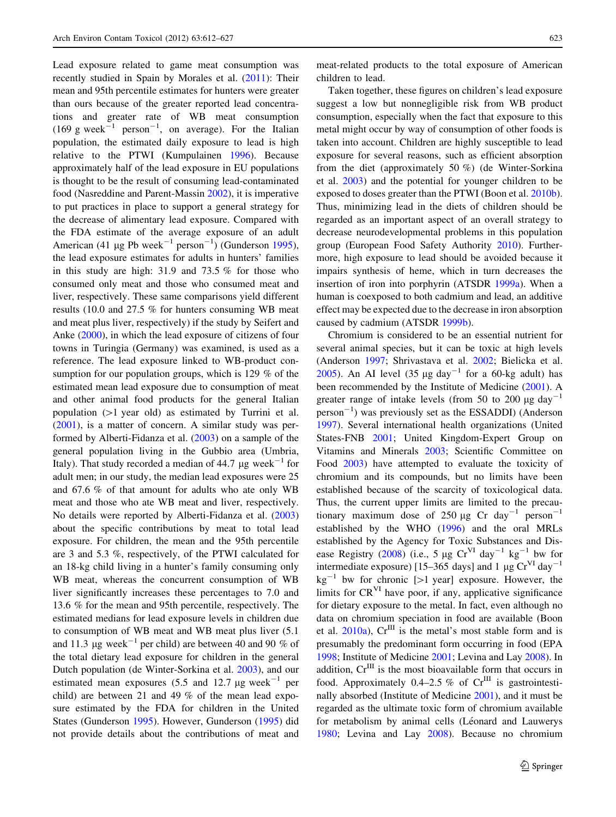Lead exposure related to game meat consumption was recently studied in Spain by Morales et al. [\(2011](#page-14-0)): Their mean and 95th percentile estimates for hunters were greater than ours because of the greater reported lead concentrations and greater rate of WB meat consumption  $(169 \text{ g week}^{-1} \text{ person}^{-1}, \text{ on average})$ . For the Italian population, the estimated daily exposure to lead is high relative to the PTWI (Kumpulainen [1996](#page-14-0)). Because approximately half of the lead exposure in EU populations is thought to be the result of consuming lead-contaminated food (Nasreddine and Parent-Massin [2002](#page-14-0)), it is imperative to put practices in place to support a general strategy for the decrease of alimentary lead exposure. Compared with the FDA estimate of the average exposure of an adult American (41  $\mu$ g Pb week<sup>-1</sup> person<sup>-1</sup>) (Gunderson [1995](#page-13-0)), the lead exposure estimates for adults in hunters' families in this study are high: 31.9 and 73.5 % for those who consumed only meat and those who consumed meat and liver, respectively. These same comparisons yield different results (10.0 and 27.5 % for hunters consuming WB meat and meat plus liver, respectively) if the study by Seifert and Anke ([2000\)](#page-14-0), in which the lead exposure of citizens of four towns in Turingia (Germany) was examined, is used as a reference. The lead exposure linked to WB-product consumption for our population groups, which is 129 % of the estimated mean lead exposure due to consumption of meat and other animal food products for the general Italian population  $(1$  year old) as estimated by Turrini et al. [\(2001](#page-15-0)), is a matter of concern. A similar study was performed by Alberti-Fidanza et al. [\(2003](#page-13-0)) on a sample of the general population living in the Gubbio area (Umbria, Italy). That study recorded a median of  $44.7 \mu$ g week<sup>-1</sup> for adult men; in our study, the median lead exposures were 25 and 67.6 % of that amount for adults who ate only WB meat and those who ate WB meat and liver, respectively. No details were reported by Alberti-Fidanza et al. ([2003\)](#page-13-0) about the specific contributions by meat to total lead exposure. For children, the mean and the 95th percentile are 3 and 5.3 %, respectively, of the PTWI calculated for an 18-kg child living in a hunter's family consuming only WB meat, whereas the concurrent consumption of WB liver significantly increases these percentages to 7.0 and 13.6 % for the mean and 95th percentile, respectively. The estimated medians for lead exposure levels in children due to consumption of WB meat and WB meat plus liver (5.1 and 11.3  $\mu$ g week<sup>-1</sup> per child) are between 40 and 90 % of the total dietary lead exposure for children in the general Dutch population (de Winter-Sorkina et al. [2003](#page-13-0)), and our estimated mean exposures (5.5 and 12.7  $\mu$ g week<sup>-1</sup> per child) are between 21 and 49 % of the mean lead exposure estimated by the FDA for children in the United States (Gunderson [1995](#page-13-0)). However, Gunderson ([1995\)](#page-13-0) did not provide details about the contributions of meat and

meat-related products to the total exposure of American children to lead.

Taken together, these figures on children's lead exposure suggest a low but nonnegligible risk from WB product consumption, especially when the fact that exposure to this metal might occur by way of consumption of other foods is taken into account. Children are highly susceptible to lead exposure for several reasons, such as efficient absorption from the diet (approximately 50 %) (de Winter-Sorkina et al. [2003](#page-13-0)) and the potential for younger children to be exposed to doses greater than the PTWI (Boon et al. [2010b](#page-13-0)). Thus, minimizing lead in the diets of children should be regarded as an important aspect of an overall strategy to decrease neurodevelopmental problems in this population group (European Food Safety Authority [2010\)](#page-13-0). Furthermore, high exposure to lead should be avoided because it impairs synthesis of heme, which in turn decreases the insertion of iron into porphyrin (ATSDR [1999a\)](#page-12-0). When a human is coexposed to both cadmium and lead, an additive effect may be expected due to the decrease in iron absorption caused by cadmium (ATSDR [1999b](#page-13-0)).

Chromium is considered to be an essential nutrient for several animal species, but it can be toxic at high levels (Anderson [1997;](#page-13-0) Shrivastava et al. [2002](#page-14-0); Bielicka et al. [2005](#page-13-0)). An AI level  $(35 \mu g \text{ day}^{-1}$  for a 60-kg adult) has been recommended by the Institute of Medicine [\(2001](#page-14-0)). A greater range of intake levels (from 50 to 200  $\mu$ g day<sup>-1</sup> person-<sup>1</sup> ) was previously set as the ESSADDI) (Anderson [1997](#page-13-0)). Several international health organizations (United States-FNB [2001](#page-15-0); United Kingdom-Expert Group on Vitamins and Minerals [2003;](#page-15-0) Scientific Committee on Food [2003](#page-14-0)) have attempted to evaluate the toxicity of chromium and its compounds, but no limits have been established because of the scarcity of toxicological data. Thus, the current upper limits are limited to the precautionary maximum dose of 250  $\mu$ g Cr day<sup>-1</sup> person<sup>-1</sup> established by the WHO ([1996\)](#page-15-0) and the oral MRLs established by the Agency for Toxic Substances and Dis-ease Registry [\(2008](#page-13-0)) (i.e., 5 µg  $Cr<sup>VI</sup>$  day<sup>-1</sup> kg<sup>-1</sup> bw for intermediate exposure) [15–365 days] and 1  $\mu$ g Cr<sup>VI</sup> day<sup>-1</sup>  $kg^{-1}$  bw for chronic [>1 year] exposure. However, the limits for  $CR<sup>VI</sup>$  have poor, if any, applicative significance for dietary exposure to the metal. In fact, even although no data on chromium speciation in food are available (Boon et al.  $2010a$ ),  $Cr^{III}$  is the metal's most stable form and is presumably the predominant form occurring in food (EPA [1998](#page-15-0); Institute of Medicine [2001](#page-14-0); Levina and Lay [2008\)](#page-14-0). In addition,  $Cr^{III}$  is the most bioavailable form that occurs in food. Approximately 0.4–2.5 % of  $Cr^{III}$  is gastrointestinally absorbed (Institute of Medicine [2001](#page-14-0)), and it must be regarded as the ultimate toxic form of chromium available for metabolism by animal cells (Léonard and Lauwerys [1980](#page-14-0); Levina and Lay [2008\)](#page-14-0). Because no chromium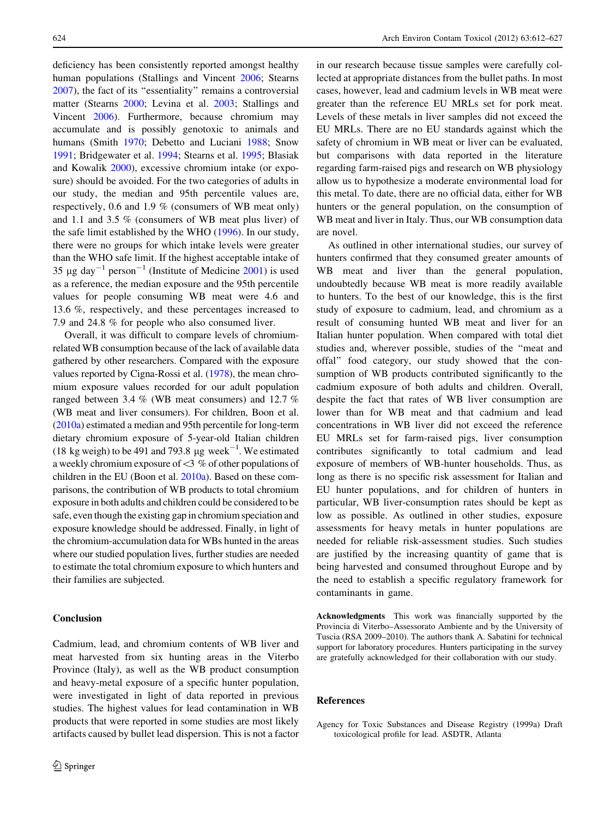<span id="page-12-0"></span>deficiency has been consistently reported amongst healthy human populations (Stallings and Vincent [2006](#page-14-0); Stearns [2007\)](#page-15-0), the fact of its ''essentiality'' remains a controversial matter (Stearns [2000](#page-15-0); Levina et al. [2003;](#page-14-0) Stallings and Vincent [2006](#page-14-0)). Furthermore, because chromium may accumulate and is possibly genotoxic to animals and humans (Smith [1970](#page-14-0); Debetto and Luciani [1988;](#page-13-0) Snow [1991;](#page-14-0) Bridgewater et al. [1994](#page-13-0); Stearns et al. [1995](#page-15-0); Błasiak and Kowalik [2000\)](#page-13-0), excessive chromium intake (or exposure) should be avoided. For the two categories of adults in our study, the median and 95th percentile values are, respectively, 0.6 and 1.9 % (consumers of WB meat only) and 1.1 and 3.5 % (consumers of WB meat plus liver) of the safe limit established by the WHO [\(1996](#page-15-0)). In our study, there were no groups for which intake levels were greater than the WHO safe limit. If the highest acceptable intake of 35 µg day<sup>-1</sup> person<sup>-1</sup> (Institute of Medicine [2001](#page-14-0)) is used as a reference, the median exposure and the 95th percentile values for people consuming WB meat were 4.6 and 13.6 %, respectively, and these percentages increased to 7.9 and 24.8 % for people who also consumed liver.

Overall, it was difficult to compare levels of chromiumrelated WB consumption because of the lack of available data gathered by other researchers. Compared with the exposure values reported by Cigna-Rossi et al. [\(1978\)](#page-13-0), the mean chromium exposure values recorded for our adult population ranged between 3.4 % (WB meat consumers) and 12.7 % (WB meat and liver consumers). For children, Boon et al. [\(2010a](#page-13-0)) estimated a median and 95th percentile for long-term dietary chromium exposure of 5-year-old Italian children (18 kg weigh) to be 491 and 793.8  $\mu$ g week<sup>-1</sup>. We estimated a weekly chromium exposure of  $\leq$  % of other populations of children in the EU (Boon et al. [2010a\)](#page-13-0). Based on these comparisons, the contribution of WB products to total chromium exposure in both adults and children could be considered to be safe, even though the existing gap in chromium speciation and exposure knowledge should be addressed. Finally, in light of the chromium-accumulation data for WBs hunted in the areas where our studied population lives, further studies are needed to estimate the total chromium exposure to which hunters and their families are subjected.

#### Conclusion

Cadmium, lead, and chromium contents of WB liver and meat harvested from six hunting areas in the Viterbo Province (Italy), as well as the WB product consumption and heavy-metal exposure of a specific hunter population, were investigated in light of data reported in previous studies. The highest values for lead contamination in WB products that were reported in some studies are most likely artifacts caused by bullet lead dispersion. This is not a factor in our research because tissue samples were carefully collected at appropriate distances from the bullet paths. In most cases, however, lead and cadmium levels in WB meat were greater than the reference EU MRLs set for pork meat. Levels of these metals in liver samples did not exceed the EU MRLs. There are no EU standards against which the safety of chromium in WB meat or liver can be evaluated, but comparisons with data reported in the literature regarding farm-raised pigs and research on WB physiology allow us to hypothesize a moderate environmental load for this metal. To date, there are no official data, either for WB hunters or the general population, on the consumption of WB meat and liver in Italy. Thus, our WB consumption data are novel.

As outlined in other international studies, our survey of hunters confirmed that they consumed greater amounts of WB meat and liver than the general population, undoubtedly because WB meat is more readily available to hunters. To the best of our knowledge, this is the first study of exposure to cadmium, lead, and chromium as a result of consuming hunted WB meat and liver for an Italian hunter population. When compared with total diet studies and, wherever possible, studies of the ''meat and offal'' food category, our study showed that the consumption of WB products contributed significantly to the cadmium exposure of both adults and children. Overall, despite the fact that rates of WB liver consumption are lower than for WB meat and that cadmium and lead concentrations in WB liver did not exceed the reference EU MRLs set for farm-raised pigs, liver consumption contributes significantly to total cadmium and lead exposure of members of WB-hunter households. Thus, as long as there is no specific risk assessment for Italian and EU hunter populations, and for children of hunters in particular, WB liver-consumption rates should be kept as low as possible. As outlined in other studies, exposure assessments for heavy metals in hunter populations are needed for reliable risk-assessment studies. Such studies are justified by the increasing quantity of game that is being harvested and consumed throughout Europe and by the need to establish a specific regulatory framework for contaminants in game.

Acknowledgments This work was financially supported by the Provincia di Viterbo–Assessorato Ambiente and by the University of Tuscia (RSA 2009–2010). The authors thank A. Sabatini for technical support for laboratory procedures. Hunters participating in the survey are gratefully acknowledged for their collaboration with our study.

#### References

Agency for Toxic Substances and Disease Registry (1999a) Draft toxicological profile for lead. ASDTR, Atlanta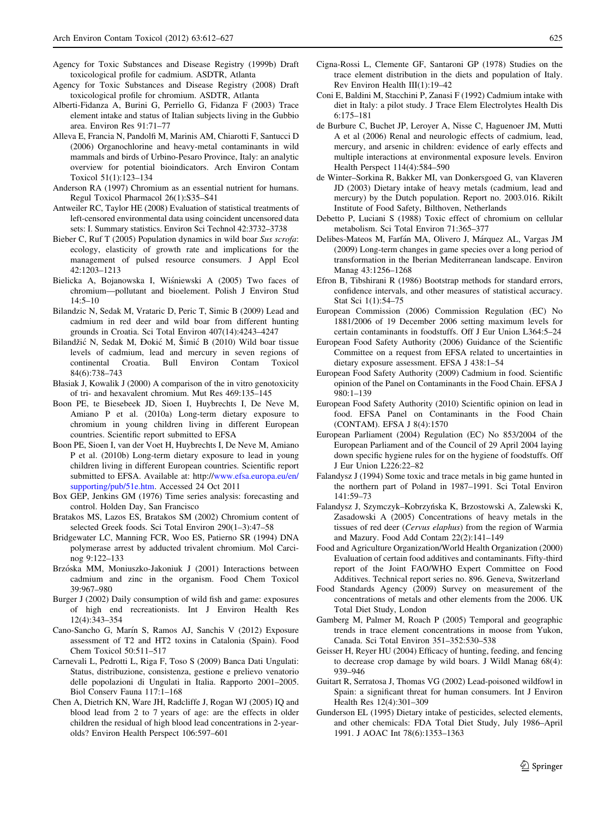- <span id="page-13-0"></span>Agency for Toxic Substances and Disease Registry (1999b) Draft toxicological profile for cadmium. ASDTR, Atlanta
- Agency for Toxic Substances and Disease Registry (2008) Draft toxicological profile for chromium. ASDTR, Atlanta
- Alberti-Fidanza A, Burini G, Perriello G, Fidanza F (2003) Trace element intake and status of Italian subjects living in the Gubbio area. Environ Res 91:71–77
- Alleva E, Francia N, Pandolfi M, Marinis AM, Chiarotti F, Santucci D (2006) Organochlorine and heavy-metal contaminants in wild mammals and birds of Urbino-Pesaro Province, Italy: an analytic overview for potential bioindicators. Arch Environ Contam Toxicol 51(1):123–134
- Anderson RA (1997) Chromium as an essential nutrient for humans. Regul Toxicol Pharmacol 26(1):S35–S41
- Antweiler RC, Taylor HE (2008) Evaluation of statistical treatments of left-censored environmental data using coincident uncensored data sets: I. Summary statistics. Environ Sci Technol 42:3732–3738
- Bieber C, Ruf T (2005) Population dynamics in wild boar Sus scrofa: ecology, elasticity of growth rate and implications for the management of pulsed resource consumers. J Appl Ecol 42:1203–1213
- Bielicka A, Bojanowska I, Wiśniewski A (2005) Two faces of chromium—pollutant and bioelement. Polish J Environ Stud 14:5–10
- Bilandzic N, Sedak M, Vrataric D, Peric T, Simic B (2009) Lead and cadmium in red deer and wild boar from different hunting grounds in Croatia. Sci Total Environ 407(14):4243–4247
- Bilandžić N, Sedak M, Đokić M, Šimić B (2010) Wild boar tissue levels of cadmium, lead and mercury in seven regions of continental Croatia. Bull Environ Contam Toxicol 84(6):738–743
- Błasiak J, Kowalik J (2000) A comparison of the in vitro genotoxicity of tri- and hexavalent chromium. Mut Res 469:135–145
- Boon PE, te Biesebeek JD, Sioen I, Huybrechts I, De Neve M, Amiano P et al. (2010a) Long-term dietary exposure to chromium in young children living in different European countries. Scientific report submitted to EFSA
- Boon PE, Sioen I, van der Voet H, Huybrechts I, De Neve M, Amiano P et al. (2010b) Long-term dietary exposure to lead in young children living in different European countries. Scientific report submitted to EFSA. Available at: http://[www.efsa.europa.eu/en/](http://www.efsa.europa.eu/en/supporting/pub/51e.htm) [supporting/pub/51e.htm](http://www.efsa.europa.eu/en/supporting/pub/51e.htm). Accessed 24 Oct 2011
- Box GEP, Jenkins GM (1976) Time series analysis: forecasting and control. Holden Day, San Francisco
- Bratakos MS, Lazos ES, Bratakos SM (2002) Chromium content of selected Greek foods. Sci Total Environ 290(1–3):47–58
- Bridgewater LC, Manning FCR, Woo ES, Patierno SR (1994) DNA polymerase arrest by adducted trivalent chromium. Mol Carcinog 9:122–133
- Brzóska MM, Moniuszko-Jakoniuk J (2001) Interactions between cadmium and zinc in the organism. Food Chem Toxicol 39:967–980
- Burger J (2002) Daily consumption of wild fish and game: exposures of high end recreationists. Int J Environ Health Res 12(4):343–354
- Cano-Sancho G, Marín S, Ramos AJ, Sanchis V (2012) Exposure assessment of T2 and HT2 toxins in Catalonia (Spain). Food Chem Toxicol 50:511–517
- Carnevali L, Pedrotti L, Riga F, Toso S (2009) Banca Dati Ungulati: Status, distribuzione, consistenza, gestione e prelievo venatorio delle popolazioni di Ungulati in Italia. Rapporto 2001–2005. Biol Conserv Fauna 117:1–168
- Chen A, Dietrich KN, Ware JH, Radcliffe J, Rogan WJ (2005) IQ and blood lead from 2 to 7 years of age: are the effects in older children the residual of high blood lead concentrations in 2-yearolds? Environ Health Perspect 106:597–601
- Cigna-Rossi L, Clemente GF, Santaroni GP (1978) Studies on the trace element distribution in the diets and population of Italy. Rev Environ Health III(1):19–42
- Coni E, Baldini M, Stacchini P, Zanasi F (1992) Cadmium intake with diet in Italy: a pilot study. J Trace Elem Electrolytes Health Dis 6:175–181
- de Burbure C, Buchet JP, Leroyer A, Nisse C, Haguenoer JM, Mutti A et al (2006) Renal and neurologic effects of cadmium, lead, mercury, and arsenic in children: evidence of early effects and multiple interactions at environmental exposure levels. Environ Health Perspect 114(4):584–590
- de Winter–Sorkina R, Bakker MI, van Donkersgoed G, van Klaveren JD (2003) Dietary intake of heavy metals (cadmium, lead and mercury) by the Dutch population. Report no. 2003.016. Rikilt Institute of Food Safety, Bilthoven, Netherlands
- Debetto P, Luciani S (1988) Toxic effect of chromium on cellular metabolism. Sci Total Environ 71:365–377
- Delibes-Mateos M, Farfán MA, Olivero J, Márquez AL, Vargas JM (2009) Long-term changes in game species over a long period of transformation in the Iberian Mediterranean landscape. Environ Manag 43:1256–1268
- Efron B, Tibshirani R (1986) Bootstrap methods for standard errors, confidence intervals, and other measures of statistical accuracy. Stat Sci 1(1):54–75
- European Commission (2006) Commission Regulation (EC) No 1881/2006 of 19 December 2006 setting maximum levels for certain contaminants in foodstuffs. Off J Eur Union L364:5–24
- European Food Safety Authority (2006) Guidance of the Scientific Committee on a request from EFSA related to uncertainties in dietary exposure assessment. EFSA J 438:1–54
- European Food Safety Authority (2009) Cadmium in food. Scientific opinion of the Panel on Contaminants in the Food Chain. EFSA J 980:1–139
- European Food Safety Authority (2010) Scientific opinion on lead in food. EFSA Panel on Contaminants in the Food Chain (CONTAM). EFSA J 8(4):1570
- European Parliament (2004) Regulation (EC) No 853/2004 of the European Parliament and of the Council of 29 April 2004 laying down specific hygiene rules for on the hygiene of foodstuffs. Off J Eur Union L226:22–82
- Falandysz J (1994) Some toxic and trace metals in big game hunted in the northern part of Poland in 1987–1991. Sci Total Environ 141:59–73
- Falandysz J, Szymczyk–Kobrzyńska K, Brzostowski A, Zalewski K, Zasadowski A (2005) Concentrations of heavy metals in the tissues of red deer (Cervus elaphus) from the region of Warmia and Mazury. Food Add Contam 22(2):141–149
- Food and Agriculture Organization/World Health Organization (2000) Evaluation of certain food additives and contaminants. Fifty-third report of the Joint FAO/WHO Expert Committee on Food Additives. Technical report series no. 896. Geneva, Switzerland
- Food Standards Agency (2009) Survey on measurement of the concentrations of metals and other elements from the 2006. UK Total Diet Study, London
- Gamberg M, Palmer M, Roach P (2005) Temporal and geographic trends in trace element concentrations in moose from Yukon, Canada. Sci Total Environ 351–352:530–538
- Geisser H, Reyer HU (2004) Efficacy of hunting, feeding, and fencing to decrease crop damage by wild boars. J Wildl Manag 68(4): 939–946
- Guitart R, Serratosa J, Thomas VG (2002) Lead-poisoned wildfowl in Spain: a significant threat for human consumers. Int J Environ Health Res 12(4):301–309
- Gunderson EL (1995) Dietary intake of pesticides, selected elements, and other chemicals: FDA Total Diet Study, July 1986–April 1991. J AOAC Int 78(6):1353–1363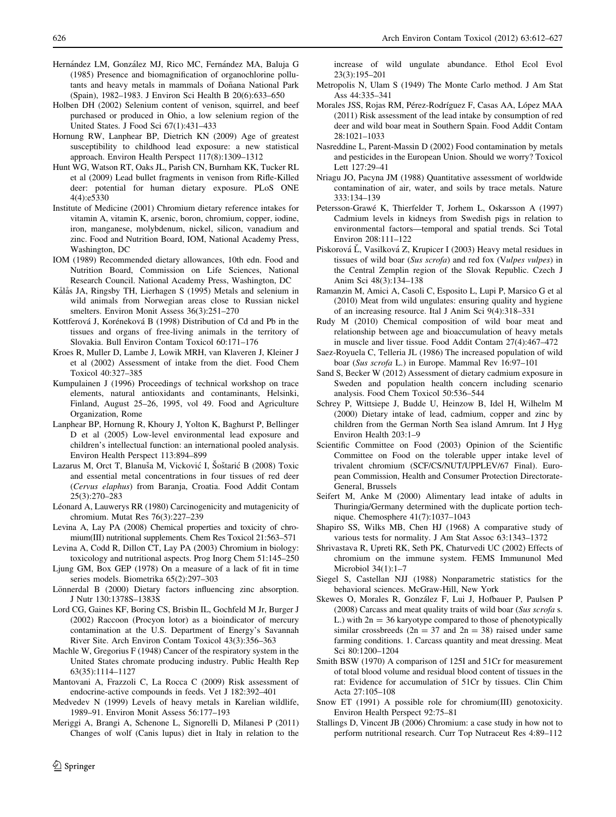- <span id="page-14-0"></span>Hernández LM, González MJ, Rico MC, Fernández MA, Baluja G (1985) Presence and biomagnification of organochlorine pollutants and heavy metals in mammals of Doñana National Park (Spain), 1982–1983. J Environ Sci Health B 20(6):633–650
- Holben DH (2002) Selenium content of venison, squirrel, and beef purchased or produced in Ohio, a low selenium region of the United States. J Food Sci 67(1):431–433
- Hornung RW, Lanphear BP, Dietrich KN (2009) Age of greatest susceptibility to childhood lead exposure: a new statistical approach. Environ Health Perspect 117(8):1309–1312
- Hunt WG, Watson RT, Oaks JL, Parish CN, Burnham KK, Tucker RL et al (2009) Lead bullet fragments in venison from Rifle-Killed deer: potential for human dietary exposure. PLoS ONE 4(4):e5330
- Institute of Medicine (2001) Chromium dietary reference intakes for vitamin A, vitamin K, arsenic, boron, chromium, copper, iodine, iron, manganese, molybdenum, nickel, silicon, vanadium and zinc. Food and Nutrition Board, IOM, National Academy Press, Washington, DC
- IOM (1989) Recommended dietary allowances, 10th edn. Food and Nutrition Board, Commission on Life Sciences, National Research Council. National Academy Press, Washington, DC
- Kålås JA, Ringsby TH, Lierhagen S (1995) Metals and selenium in wild animals from Norwegian areas close to Russian nickel smelters. Environ Monit Assess 36(3):251–270
- Kottferová J, Koréneková B (1998) Distribution of Cd and Pb in the tissues and organs of free-living animals in the territory of Slovakia. Bull Environ Contam Toxicol 60:171–176
- Kroes R, Muller D, Lambe J, Lowik MRH, van Klaveren J, Kleiner J et al (2002) Assessment of intake from the diet. Food Chem Toxicol 40:327–385
- Kumpulainen J (1996) Proceedings of technical workshop on trace elements, natural antioxidants and contaminants, Helsinki, Finland, August 25–26, 1995, vol 49. Food and Agriculture Organization, Rome
- Lanphear BP, Hornung R, Khoury J, Yolton K, Baghurst P, Bellinger D et al (2005) Low-level environmental lead exposure and children's intellectual function: an international pooled analysis. Environ Health Perspect 113:894–899
- Lazarus M, Orct T, Blanuša M, Vicković I, Šoštarić B (2008) Toxic and essential metal concentrations in four tissues of red deer (Cervus elaphus) from Baranja, Croatia. Food Addit Contam 25(3):270–283
- Léonard A, Lauwerys RR (1980) Carcinogenicity and mutagenicity of chromium. Mutat Res 76(3):227–239
- Levina A, Lay PA (2008) Chemical properties and toxicity of chromium(III) nutritional supplements. Chem Res Toxicol 21:563–571
- Levina A, Codd R, Dillon CT, Lay PA (2003) Chromium in biology: toxicology and nutritional aspects. Prog Inorg Chem 51:145–250
- Ljung GM, Box GEP (1978) On a measure of a lack of fit in time series models. Biometrika 65(2):297–303
- Lönnerdal B (2000) Dietary factors influencing zinc absorption. J Nutr 130:1378S–1383S
- Lord CG, Gaines KF, Boring CS, Brisbin IL, Gochfeld M Jr, Burger J (2002) Raccoon (Procyon lotor) as a bioindicator of mercury contamination at the U.S. Department of Energy's Savannah River Site. Arch Environ Contam Toxicol 43(3):356–363
- Machle W, Gregorius F (1948) Cancer of the respiratory system in the United States chromate producing industry. Public Health Rep 63(35):1114–1127
- Mantovani A, Frazzoli C, La Rocca C (2009) Risk assessment of endocrine-active compounds in feeds. Vet J 182:392–401
- Medvedev N (1999) Levels of heavy metals in Karelian wildlife, 1989–91. Environ Monit Assess 56:177–193
- Meriggi A, Brangi A, Schenone L, Signorelli D, Milanesi P (2011) Changes of wolf (Canis lupus) diet in Italy in relation to the

 $\textcircled{2}$  Springer

increase of wild ungulate abundance. Ethol Ecol Evol 23(3):195–201

- Metropolis N, Ulam S (1949) The Monte Carlo method. J Am Stat Ass 44:335–341
- Morales JSS, Rojas RM, Pérez-Rodríguez F, Casas AA, López MAA (2011) Risk assessment of the lead intake by consumption of red deer and wild boar meat in Southern Spain. Food Addit Contam 28:1021–1033
- Nasreddine L, Parent-Massin D (2002) Food contamination by metals and pesticides in the European Union. Should we worry? Toxicol Lett 127:29–41
- Nriagu JO, Pacyna JM (1988) Quantitative assessment of worldwide contamination of air, water, and soils by trace metals. Nature 333:134–139
- Petersson-Grawé K, Thierfelder T, Jorhem L, Oskarsson A (1997) Cadmium levels in kidneys from Swedish pigs in relation to environmental factors—temporal and spatial trends. Sci Total Environ 208:111–122
- Piskorová L̄, Vasilková Z, Krupicer I (2003) Heavy metal residues in tissues of wild boar (Sus scrofa) and red fox (Vulpes vulpes) in the Central Zemplin region of the Slovak Republic. Czech J Anim Sci 48(3):134–138
- Ramanzin M, Amici A, Casoli C, Esposito L, Lupi P, Marsico G et al (2010) Meat from wild ungulates: ensuring quality and hygiene of an increasing resource. Ital J Anim Sci 9(4):318–331
- Rudy M (2010) Chemical composition of wild boar meat and relationship between age and bioaccumulation of heavy metals in muscle and liver tissue. Food Addit Contam 27(4):467–472
- Saez-Royuela C, Telleria JL (1986) The increased population of wild boar (Sus scrofa L.) in Europe. Mammal Rev 16:97–101
- Sand S, Becker W (2012) Assessment of dietary cadmium exposure in Sweden and population health concern including scenario analysis. Food Chem Toxicol 50:536–544
- Schrey P, Wittsiepe J, Budde U, Heinzow B, Idel H, Wilhelm M (2000) Dietary intake of lead, cadmium, copper and zinc by children from the German North Sea island Amrum. Int J Hyg Environ Health 203:1–9
- Scientific Committee on Food (2003) Opinion of the Scientific Committee on Food on the tolerable upper intake level of trivalent chromium (SCF/CS/NUT/UPPLEV/67 Final). European Commission, Health and Consumer Protection Directorate-General, Brussels
- Seifert M, Anke M (2000) Alimentary lead intake of adults in Thuringia/Germany determined with the duplicate portion technique. Chemosphere 41(7):1037–1043
- Shapiro SS, Wilks MB, Chen HJ (1968) A comparative study of various tests for normality. J Am Stat Assoc 63:1343–1372
- Shrivastava R, Upreti RK, Seth PK, Chaturvedi UC (2002) Effects of chromium on the immune system. FEMS Immununol Med Microbiol 34(1):1–7
- Siegel S, Castellan NJJ (1988) Nonparametric statistics for the behavioral sciences. McGraw-Hill, New York
- Skewes O, Morales R, González F, Lui J, Hofbauer P, Paulsen P (2008) Carcass and meat quality traits of wild boar (Sus scrofa s. L.) with  $2n = 36$  karyotype compared to those of phenotypically similar crossbreeds ( $2n = 37$  and  $2n = 38$ ) raised under same farming conditions. 1. Carcass quantity and meat dressing. Meat Sci 80:1200–1204
- Smith BSW (1970) A comparison of 125I and 51Cr for measurement of total blood volume and residual blood content of tissues in the rat: Evidence for accumulation of 51Cr by tissues. Clin Chim Acta 27:105–108
- Snow ET (1991) A possible role for chromium(III) genotoxicity. Environ Health Perspect 92:75–81
- Stallings D, Vincent JB (2006) Chromium: a case study in how not to perform nutritional research. Curr Top Nutraceut Res 4:89–112